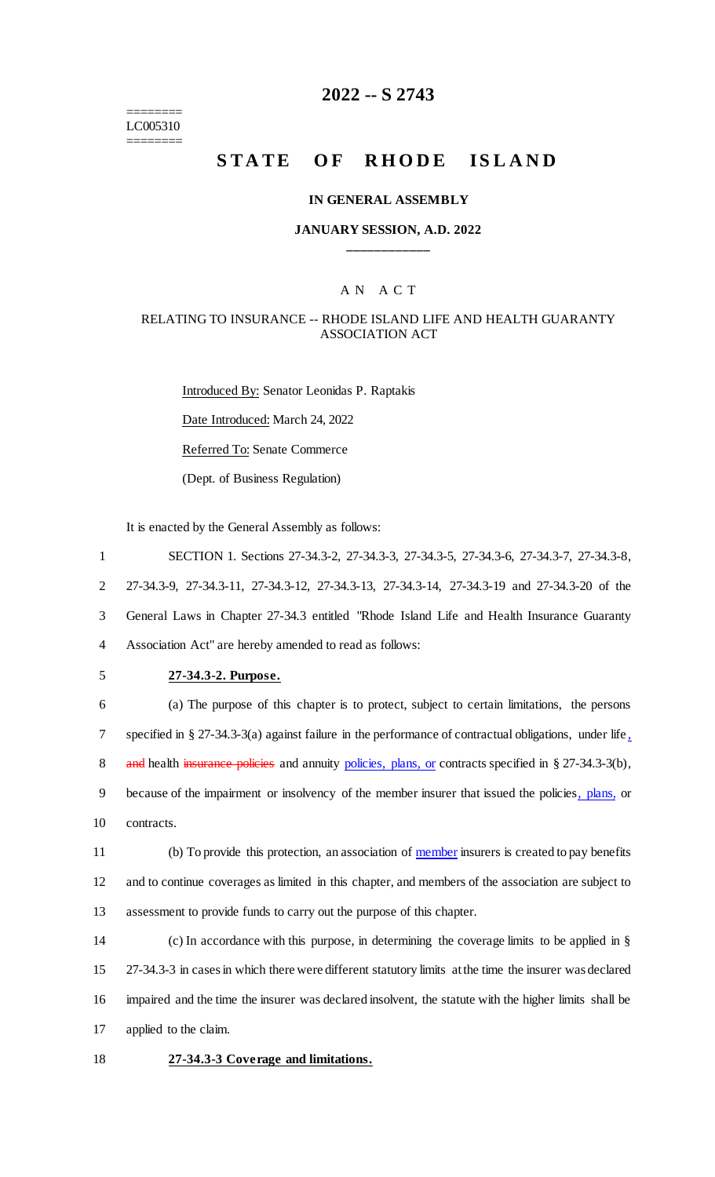======== LC005310 ========

# **2022 -- S 2743**

# **STATE OF RHODE ISLAND**

### **IN GENERAL ASSEMBLY**

### **JANUARY SESSION, A.D. 2022 \_\_\_\_\_\_\_\_\_\_\_\_**

### A N A C T

### RELATING TO INSURANCE -- RHODE ISLAND LIFE AND HEALTH GUARANTY ASSOCIATION ACT

Introduced By: Senator Leonidas P. Raptakis Date Introduced: March 24, 2022 Referred To: Senate Commerce (Dept. of Business Regulation)

It is enacted by the General Assembly as follows:

 SECTION 1. Sections 27-34.3-2, 27-34.3-3, 27-34.3-5, 27-34.3-6, 27-34.3-7, 27-34.3-8, 27-34.3-9, 27-34.3-11, 27-34.3-12, 27-34.3-13, 27-34.3-14, 27-34.3-19 and 27-34.3-20 of the General Laws in Chapter 27-34.3 entitled "Rhode Island Life and Health Insurance Guaranty Association Act" are hereby amended to read as follows:

5 **27-34.3-2. Purpose.**

6 (a) The purpose of this chapter is to protect, subject to certain limitations, the persons 7 specified in § 27-34.3-3(a) against failure in the performance of contractual obligations, under life, 8 and health insurance policies and annuity policies, plans, or contracts specified in § 27-34.3-3(b), 9 because of the impairment or insolvency of the member insurer that issued the policies, plans, or 10 contracts.

11 (b) To provide this protection, an association of member insurers is created to pay benefits 12 and to continue coverages as limited in this chapter, and members of the association are subject to 13 assessment to provide funds to carry out the purpose of this chapter.

 (c) In accordance with this purpose, in determining the coverage limits to be applied in § 27-34.3-3 in cases in which there were different statutory limits at the time the insurer was declared impaired and the time the insurer was declared insolvent, the statute with the higher limits shall be applied to the claim.

18 **27-34.3-3 Coverage and limitations.**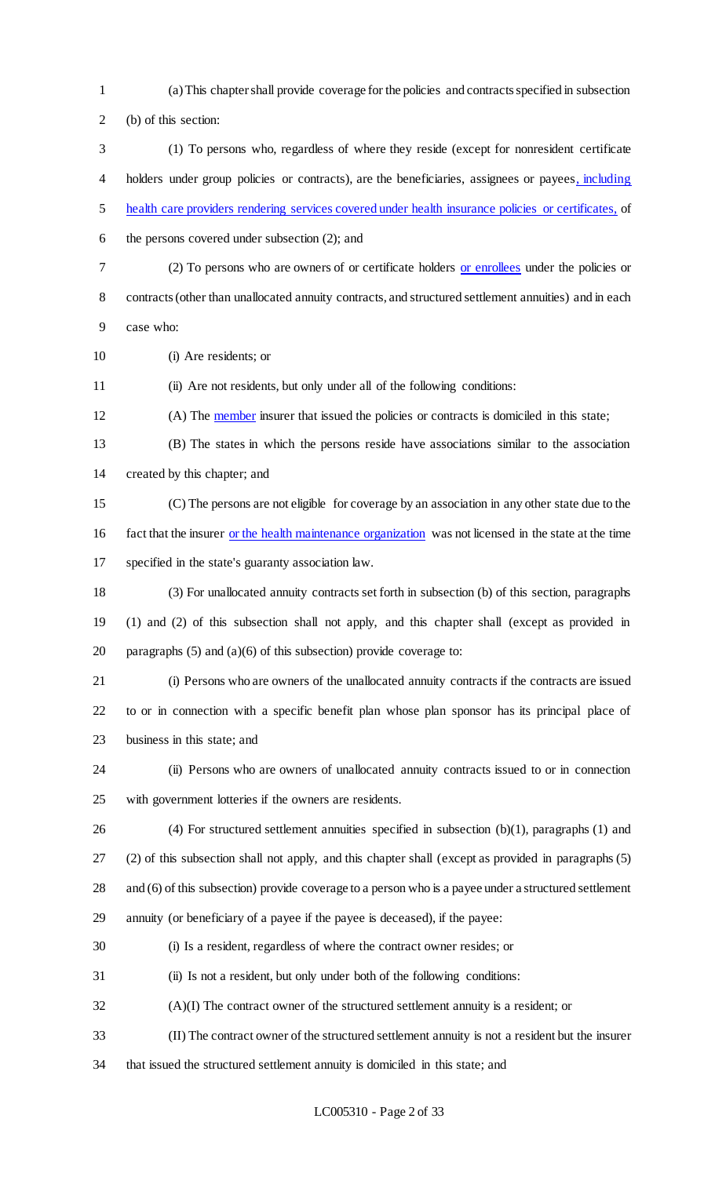- (a) This chapter shall provide coverage for the policies and contracts specified in subsection (b) of this section:
- (1) To persons who, regardless of where they reside (except for nonresident certificate holders under group policies or contracts), are the beneficiaries, assignees or payees, including health care providers rendering services covered under health insurance policies or certificates, of
- the persons covered under subsection (2); and
- 

 (2) To persons who are owners of or certificate holders or enrollees under the policies or contracts (other than unallocated annuity contracts, and structured settlement annuities) and in each

- case who:
- (i) Are residents; or

(ii) Are not residents, but only under all of the following conditions:

12 (A) The member insurer that issued the policies or contracts is domiciled in this state;

 (B) The states in which the persons reside have associations similar to the association created by this chapter; and

 (C) The persons are not eligible for coverage by an association in any other state due to the fact that the insurer or the health maintenance organization was not licensed in the state at the time specified in the state's guaranty association law.

 (3) For unallocated annuity contracts set forth in subsection (b) of this section, paragraphs (1) and (2) of this subsection shall not apply, and this chapter shall (except as provided in 20 paragraphs  $(5)$  and  $(a)(6)$  of this subsection) provide coverage to:

 (i) Persons who are owners of the unallocated annuity contracts if the contracts are issued to or in connection with a specific benefit plan whose plan sponsor has its principal place of business in this state; and

- (ii) Persons who are owners of unallocated annuity contracts issued to or in connection with government lotteries if the owners are residents.
- 

(4) For structured settlement annuities specified in subsection (b)(1), paragraphs (1) and

(2) of this subsection shall not apply, and this chapter shall (except as provided in paragraphs (5)

28 and (6) of this subsection) provide coverage to a person who is a payee under a structured settlement

annuity (or beneficiary of a payee if the payee is deceased), if the payee:

- (i) Is a resident, regardless of where the contract owner resides; or
- (ii) Is not a resident, but only under both of the following conditions:
- (A)(I) The contract owner of the structured settlement annuity is a resident; or
- (II) The contract owner of the structured settlement annuity is not a resident but the insurer
- that issued the structured settlement annuity is domiciled in this state; and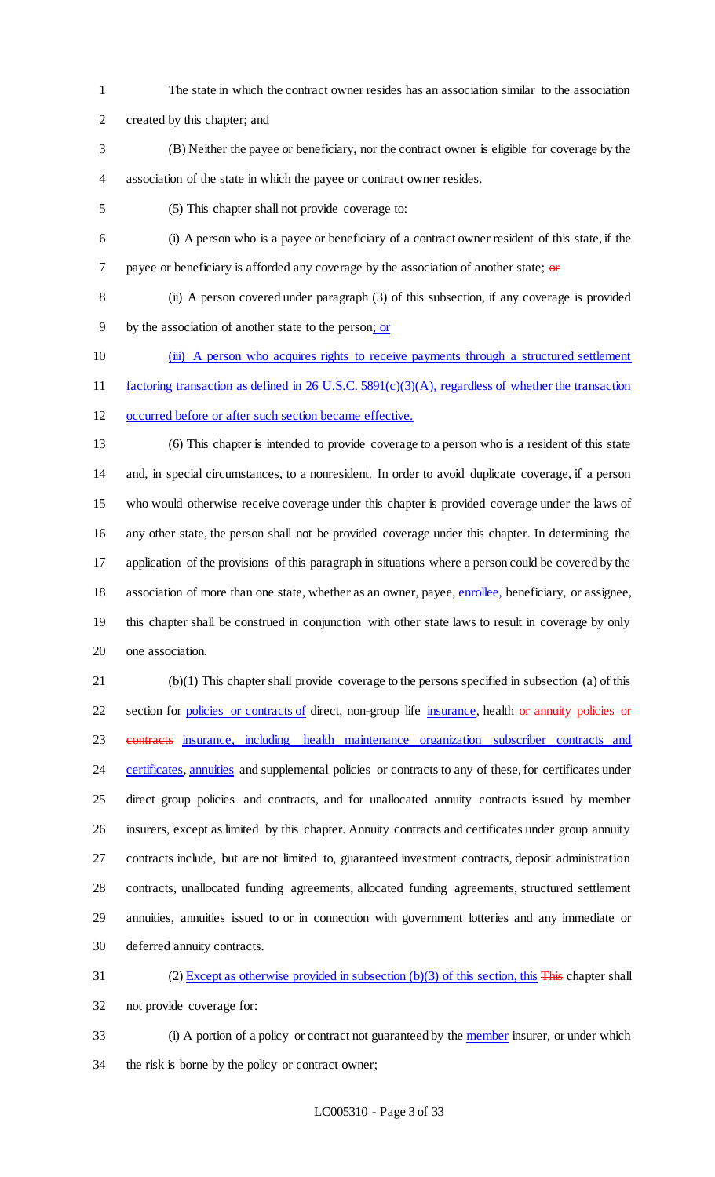- The state in which the contract owner resides has an association similar to the association
- created by this chapter; and
- (B) Neither the payee or beneficiary, nor the contract owner is eligible for coverage by the association of the state in which the payee or contract owner resides.
- (5) This chapter shall not provide coverage to:
- (i) A person who is a payee or beneficiary of a contract owner resident of this state, if the 7 payee or beneficiary is afforded any coverage by the association of another state;  $\theta$
- (ii) A person covered under paragraph (3) of this subsection, if any coverage is provided
- by the association of another state to the person; or
- (iii) A person who acquires rights to receive payments through a structured settlement
- factoring transaction as defined in 26 U.S.C. 5891(c)(3)(A), regardless of whether the transaction
- occurred before or after such section became effective.
- 

 (6) This chapter is intended to provide coverage to a person who is a resident of this state and, in special circumstances, to a nonresident. In order to avoid duplicate coverage, if a person who would otherwise receive coverage under this chapter is provided coverage under the laws of any other state, the person shall not be provided coverage under this chapter. In determining the application of the provisions of this paragraph in situations where a person could be covered by the 18 association of more than one state, whether as an owner, payee, enrollee, beneficiary, or assignee, this chapter shall be construed in conjunction with other state laws to result in coverage by only one association.

 (b)(1) This chapter shall provide coverage to the persons specified in subsection (a) of this 22 section for policies or contracts of direct, non-group life insurance, health or annuity policies or 23 eontracts insurance, including health maintenance organization subscriber contracts and 24 certificates, annuities and supplemental policies or contracts to any of these, for certificates under direct group policies and contracts, and for unallocated annuity contracts issued by member insurers, except as limited by this chapter. Annuity contracts and certificates under group annuity contracts include, but are not limited to, guaranteed investment contracts, deposit administration contracts, unallocated funding agreements, allocated funding agreements, structured settlement annuities, annuities issued to or in connection with government lotteries and any immediate or deferred annuity contracts.

 (2) Except as otherwise provided in subsection (b)(3) of this section, this This chapter shall not provide coverage for:

33 (i) A portion of a policy or contract not guaranteed by the member insurer, or under which the risk is borne by the policy or contract owner;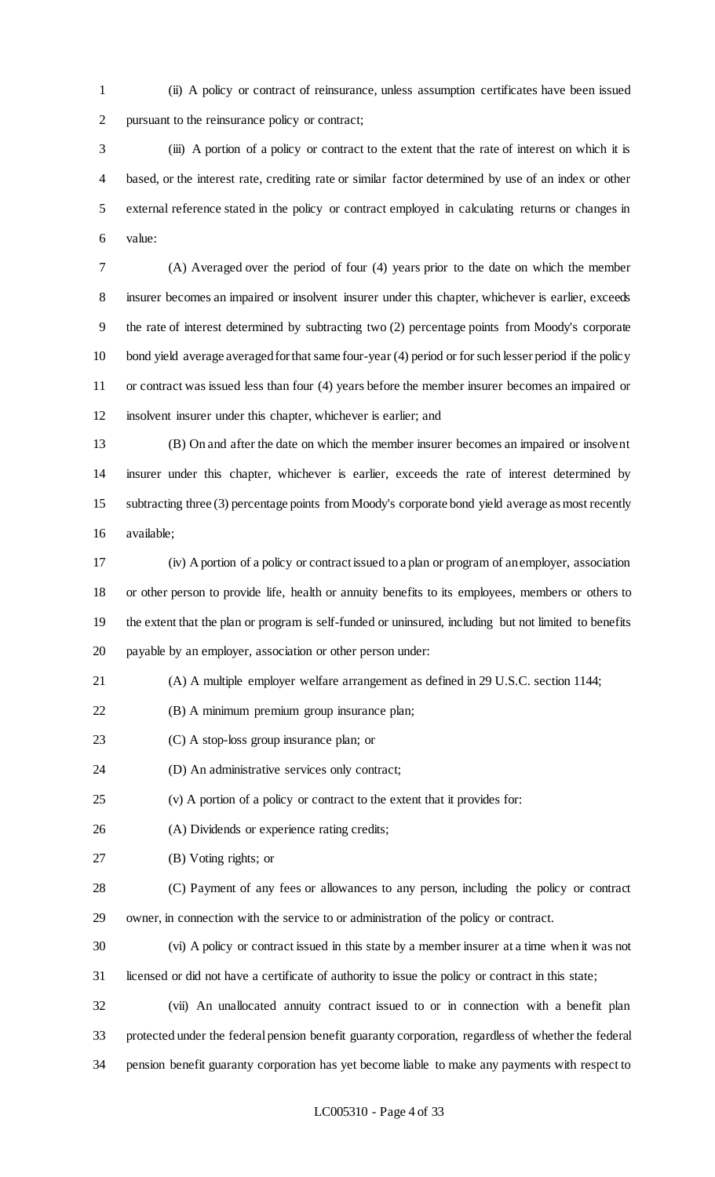(ii) A policy or contract of reinsurance, unless assumption certificates have been issued pursuant to the reinsurance policy or contract;

 (iii) A portion of a policy or contract to the extent that the rate of interest on which it is based, or the interest rate, crediting rate or similar factor determined by use of an index or other external reference stated in the policy or contract employed in calculating returns or changes in value:

 (A) Averaged over the period of four (4) years prior to the date on which the member insurer becomes an impaired or insolvent insurer under this chapter, whichever is earlier, exceeds the rate of interest determined by subtracting two (2) percentage points from Moody's corporate bond yield average averaged for that same four-year (4) period or for such lesser period if the policy or contract was issued less than four (4) years before the member insurer becomes an impaired or insolvent insurer under this chapter, whichever is earlier; and

 (B) On and after the date on which the member insurer becomes an impaired or insolvent insurer under this chapter, whichever is earlier, exceeds the rate of interest determined by subtracting three (3) percentage points from Moody's corporate bond yield average as most recently available;

 (iv) A portion of a policy or contract issued to a plan or program of an employer, association or other person to provide life, health or annuity benefits to its employees, members or others to the extent that the plan or program is self-funded or uninsured, including but not limited to benefits payable by an employer, association or other person under:

(A) A multiple employer welfare arrangement as defined in 29 U.S.C. section 1144;

- (B) A minimum premium group insurance plan;
- (C) A stop-loss group insurance plan; or
- (D) An administrative services only contract;

(v) A portion of a policy or contract to the extent that it provides for:

(A) Dividends or experience rating credits;

(B) Voting rights; or

 (C) Payment of any fees or allowances to any person, including the policy or contract owner, in connection with the service to or administration of the policy or contract.

(vi) A policy or contract issued in this state by a member insurer at a time when it was not

licensed or did not have a certificate of authority to issue the policy or contract in this state;

 (vii) An unallocated annuity contract issued to or in connection with a benefit plan protected under the federal pension benefit guaranty corporation, regardless of whether the federal pension benefit guaranty corporation has yet become liable to make any payments with respect to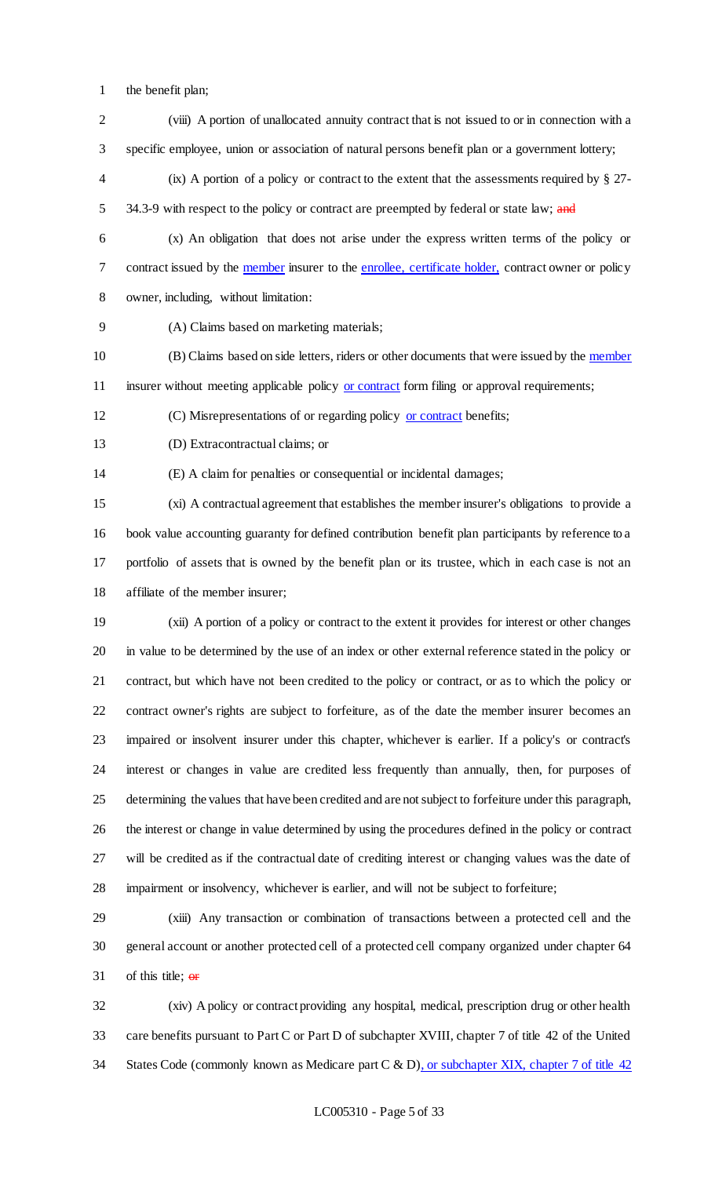- the benefit plan;
- (viii) A portion of unallocated annuity contract that is not issued to or in connection with a specific employee, union or association of natural persons benefit plan or a government lottery;
- (ix) A portion of a policy or contract to the extent that the assessments required by § 27- 5 34.3-9 with respect to the policy or contract are preempted by federal or state law; and
- (x) An obligation that does not arise under the express written terms of the policy or contract issued by the member insurer to the enrollee, certificate holder, contract owner or policy owner, including, without limitation:
- (A) Claims based on marketing materials;
- 10 (B) Claims based on side letters, riders or other documents that were issued by the member 11 insurer without meeting applicable policy or contract form filing or approval requirements;
- (C) Misrepresentations of or regarding policy or contract benefits;
- (D) Extracontractual claims; or

(E) A claim for penalties or consequential or incidental damages;

 (xi) A contractual agreement that establishes the member insurer's obligations to provide a book value accounting guaranty for defined contribution benefit plan participants by reference to a portfolio of assets that is owned by the benefit plan or its trustee, which in each case is not an affiliate of the member insurer;

 (xii) A portion of a policy or contract to the extent it provides for interest or other changes in value to be determined by the use of an index or other external reference stated in the policy or contract, but which have not been credited to the policy or contract, or as to which the policy or contract owner's rights are subject to forfeiture, as of the date the member insurer becomes an impaired or insolvent insurer under this chapter, whichever is earlier. If a policy's or contract's interest or changes in value are credited less frequently than annually, then, for purposes of determining the values that have been credited and are not subject to forfeiture under this paragraph, the interest or change in value determined by using the procedures defined in the policy or contract will be credited as if the contractual date of crediting interest or changing values was the date of impairment or insolvency, whichever is earlier, and will not be subject to forfeiture;

 (xiii) Any transaction or combination of transactions between a protected cell and the general account or another protected cell of a protected cell company organized under chapter 64 31 of this title;  $\theta$ **F** 

 (xiv) A policy or contract providing any hospital, medical, prescription drug or other health care benefits pursuant to Part C or Part D of subchapter XVIII, chapter 7 of title 42 of the United 34 States Code (commonly known as Medicare part C & D), or subchapter XIX, chapter 7 of title 42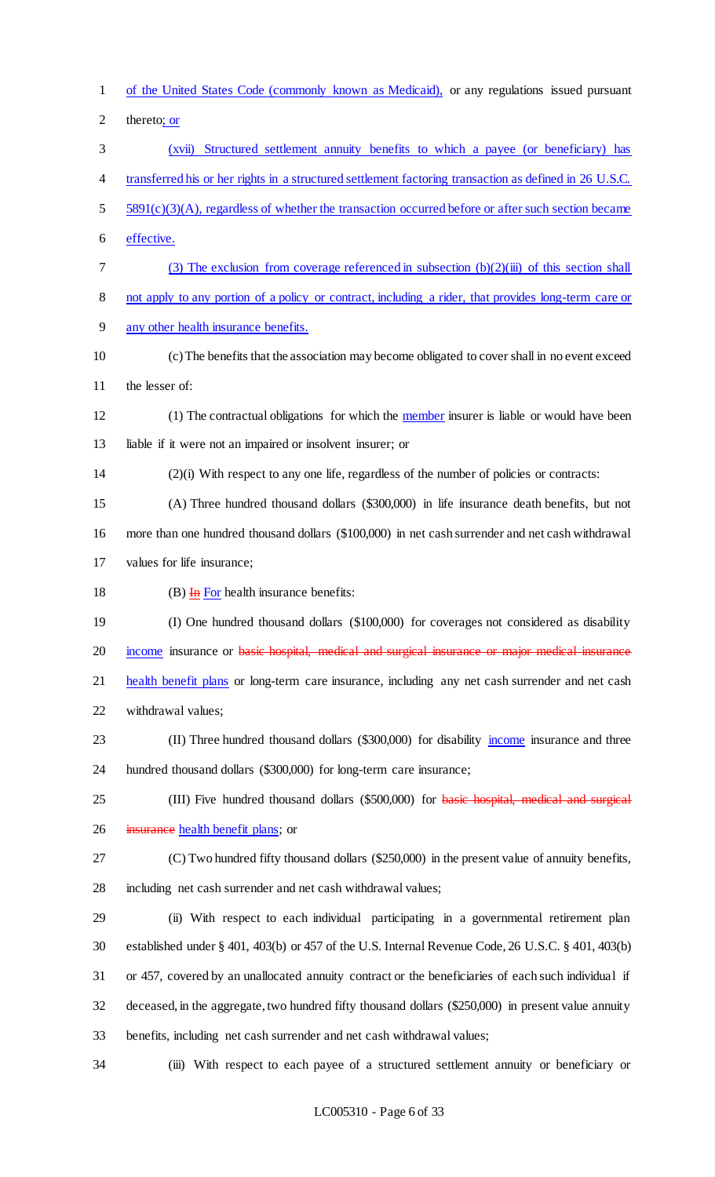of the United States Code (commonly known as Medicaid), or any regulations issued pursuant thereto; or (xvii) Structured settlement annuity benefits to which a payee (or beneficiary) has transferred his or her rights in a structured settlement factoring transaction as defined in 26 U.S.C. 5 5891(c)(3)(A), regardless of whether the transaction occurred before or after such section became effective. (3) The exclusion from coverage referenced in subsection (b)(2)(iii) of this section shall not apply to any portion of a policy or contract, including a rider, that provides long-term care or any other health insurance benefits. (c) The benefits that the association may become obligated to cover shall in no event exceed the lesser of: (1) The contractual obligations for which the member insurer is liable or would have been liable if it were not an impaired or insolvent insurer; or (2)(i) With respect to any one life, regardless of the number of policies or contracts: (A) Three hundred thousand dollars (\$300,000) in life insurance death benefits, but not more than one hundred thousand dollars (\$100,000) in net cash surrender and net cash withdrawal values for life insurance; 18 (B)  $\overline{H}$  For health insurance benefits: (I) One hundred thousand dollars (\$100,000) for coverages not considered as disability 20 income insurance or basic hospital, medical and surgical insurance or major medical insurance 21 health benefit plans or long-term care insurance, including any net cash surrender and net cash withdrawal values; 23 (II) Three hundred thousand dollars (\$300,000) for disability income insurance and three hundred thousand dollars (\$300,000) for long-term care insurance; 25 (III) Five hundred thousand dollars (\$500,000) for basic hospital, medical and surgical 26 insurance health benefit plans; or (C) Two hundred fifty thousand dollars (\$250,000) in the present value of annuity benefits, including net cash surrender and net cash withdrawal values; (ii) With respect to each individual participating in a governmental retirement plan established under § 401, 403(b) or 457 of the U.S. Internal Revenue Code, 26 U.S.C. § 401, 403(b) or 457, covered by an unallocated annuity contract or the beneficiaries of each such individual if deceased, in the aggregate, two hundred fifty thousand dollars (\$250,000) in present value annuity benefits, including net cash surrender and net cash withdrawal values; (iii) With respect to each payee of a structured settlement annuity or beneficiary or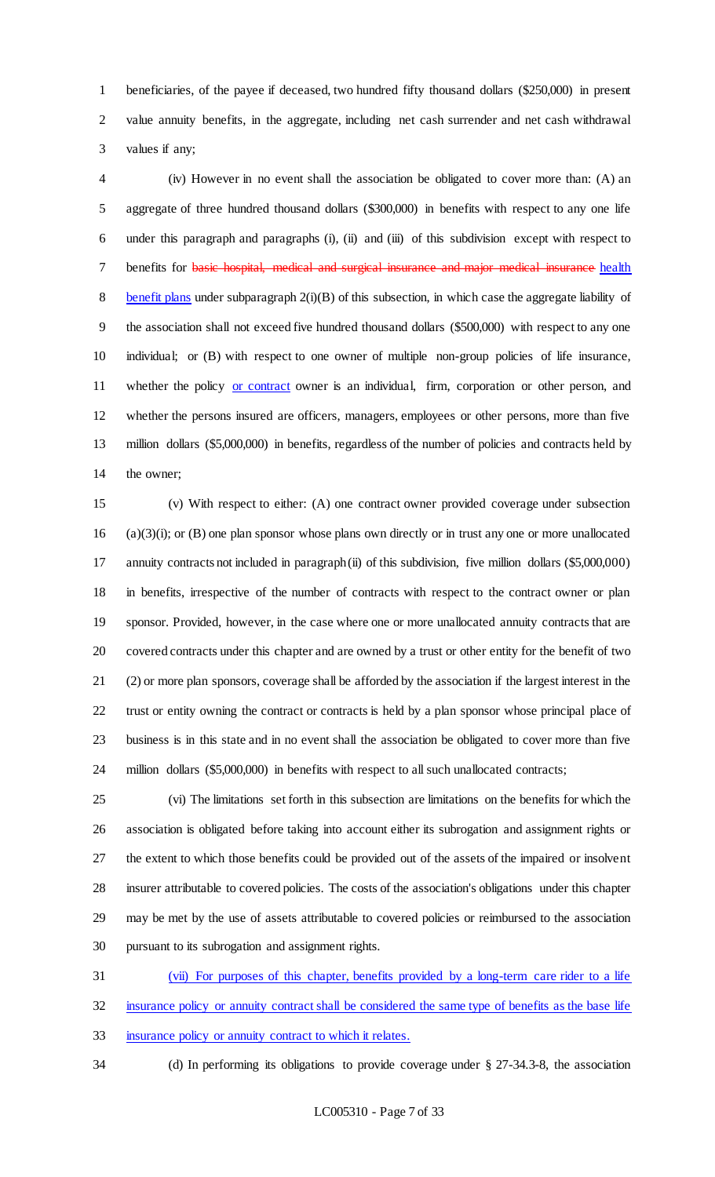beneficiaries, of the payee if deceased, two hundred fifty thousand dollars (\$250,000) in present value annuity benefits, in the aggregate, including net cash surrender and net cash withdrawal values if any;

 (iv) However in no event shall the association be obligated to cover more than: (A) an aggregate of three hundred thousand dollars (\$300,000) in benefits with respect to any one life under this paragraph and paragraphs (i), (ii) and (iii) of this subdivision except with respect to 7 benefits for basic hospital, medical and surgical insurance and major medical insurance health 8 benefit plans under subparagraph 2(i)(B) of this subsection, in which case the aggregate liability of the association shall not exceed five hundred thousand dollars (\$500,000) with respect to any one individual; or (B) with respect to one owner of multiple non-group policies of life insurance, 11 whether the policy or contract owner is an individual, firm, corporation or other person, and whether the persons insured are officers, managers, employees or other persons, more than five million dollars (\$5,000,000) in benefits, regardless of the number of policies and contracts held by the owner;

 (v) With respect to either: (A) one contract owner provided coverage under subsection (a)(3)(i); or (B) one plan sponsor whose plans own directly or in trust any one or more unallocated annuity contracts not included in paragraph (ii) of this subdivision, five million dollars (\$5,000,000) in benefits, irrespective of the number of contracts with respect to the contract owner or plan sponsor. Provided, however, in the case where one or more unallocated annuity contracts that are covered contracts under this chapter and are owned by a trust or other entity for the benefit of two (2) or more plan sponsors, coverage shall be afforded by the association if the largest interest in the trust or entity owning the contract or contracts is held by a plan sponsor whose principal place of business is in this state and in no event shall the association be obligated to cover more than five million dollars (\$5,000,000) in benefits with respect to all such unallocated contracts;

 (vi) The limitations set forth in this subsection are limitations on the benefits for which the association is obligated before taking into account either its subrogation and assignment rights or the extent to which those benefits could be provided out of the assets of the impaired or insolvent insurer attributable to covered policies. The costs of the association's obligations under this chapter may be met by the use of assets attributable to covered policies or reimbursed to the association pursuant to its subrogation and assignment rights.

 (vii) For purposes of this chapter, benefits provided by a long-term care rider to a life insurance policy or annuity contract shall be considered the same type of benefits as the base life insurance policy or annuity contract to which it relates.

(d) In performing its obligations to provide coverage under § 27-34.3-8, the association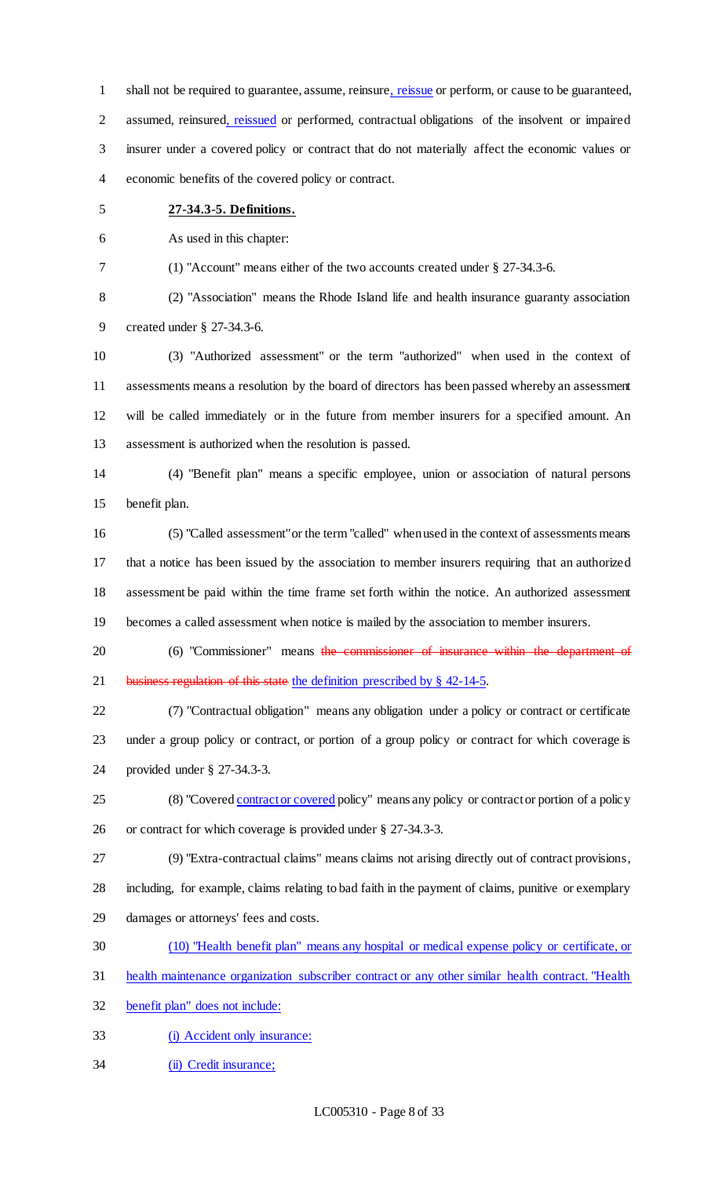shall not be required to guarantee, assume, reinsure, reissue or perform, or cause to be guaranteed, assumed, reinsured, reissued or performed, contractual obligations of the insolvent or impaired insurer under a covered policy or contract that do not materially affect the economic values or economic benefits of the covered policy or contract.

### **27-34.3-5. Definitions.**

As used in this chapter:

(1) "Account" means either of the two accounts created under § 27-34.3-6.

 (2) "Association" means the Rhode Island life and health insurance guaranty association created under § 27-34.3-6.

 (3) "Authorized assessment" or the term "authorized" when used in the context of assessments means a resolution by the board of directors has been passed whereby an assessment will be called immediately or in the future from member insurers for a specified amount. An assessment is authorized when the resolution is passed.

 (4) "Benefit plan" means a specific employee, union or association of natural persons benefit plan.

 (5) "Called assessment" or the term "called" when used in the context of assessments means that a notice has been issued by the association to member insurers requiring that an authorized assessment be paid within the time frame set forth within the notice. An authorized assessment becomes a called assessment when notice is mailed by the association to member insurers.

20 (6) "Commissioner" means the commissioner of insurance within the department of 21 business regulation of this state the definition prescribed by § 42-14-5.

 (7) "Contractual obligation" means any obligation under a policy or contract or certificate under a group policy or contract, or portion of a group policy or contract for which coverage is provided under § 27-34.3-3.

25 (8) "Covered contract or covered policy" means any policy or contract or portion of a policy or contract for which coverage is provided under § 27-34.3-3.

(9) "Extra-contractual claims" means claims not arising directly out of contract provisions,

including, for example, claims relating to bad faith in the payment of claims, punitive or exemplary

- damages or attorneys' fees and costs.
- (10) "Health benefit plan" means any hospital or medical expense policy or certificate, or
- health maintenance organization subscriber contract or any other similar health contract. "Health

benefit plan" does not include:

- (i) Accident only insurance:
- (ii) Credit insurance;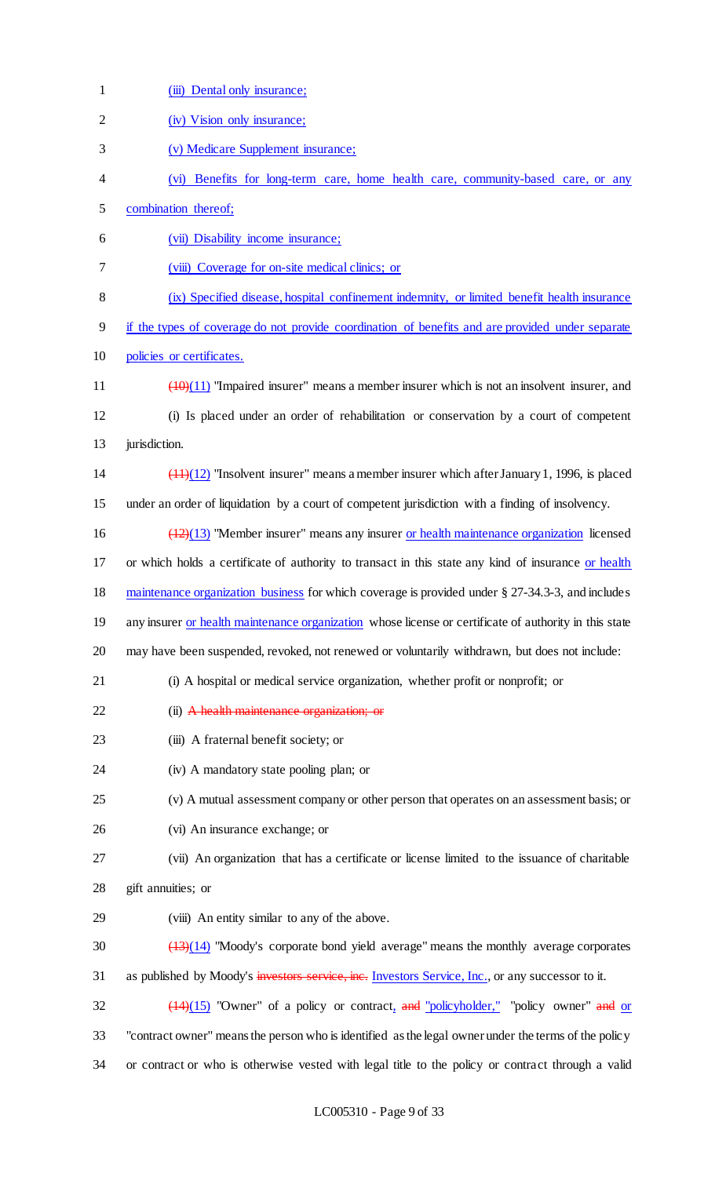| $\mathbf{1}$ | (iii) Dental only insurance;                                                                                  |
|--------------|---------------------------------------------------------------------------------------------------------------|
| $\mathbf{2}$ | (iv) Vision only insurance;                                                                                   |
| 3            | (v) Medicare Supplement insurance;                                                                            |
| 4            | (vi) Benefits for long-term care, home health care, community-based care, or any                              |
| 5            | combination thereof;                                                                                          |
| 6            | (vii) Disability income insurance;                                                                            |
| 7            | (viii) Coverage for on-site medical clinics; or                                                               |
| $8\,$        | (ix) Specified disease, hospital confinement indemnity, or limited benefit health insurance                   |
| 9            | if the types of coverage do not provide coordination of benefits and are provided under separate              |
| 10           | policies or certificates.                                                                                     |
| 11           | $\frac{(10)(11)}{(10)(11)}$ "Impaired insurer" means a member insurer which is not an insolvent insurer, and  |
| 12           | (i) Is placed under an order of rehabilitation or conservation by a court of competent                        |
| 13           | jurisdiction.                                                                                                 |
| 14           | $\frac{(11)(12)}{(11)(12)}$ "Insolvent insurer" means a member insurer which after January 1, 1996, is placed |
| 15           | under an order of liquidation by a court of competent jurisdiction with a finding of insolvency.              |
| 16           | $(12)(13)$ "Member insurer" means any insurer or health maintenance organization licensed                     |
| 17           | or which holds a certificate of authority to transact in this state any kind of insurance or health           |
| 18           | maintenance organization business for which coverage is provided under § 27-34.3-3, and includes              |
| 19           | any insurer or health maintenance organization whose license or certificate of authority in this state        |
| 20           | may have been suspended, revoked, not renewed or voluntarily withdrawn, but does not include:                 |
| 21           | (i) A hospital or medical service organization, whether profit or nonprofit; or                               |
| 22           | (ii) A health maintenance organization; or                                                                    |
| 23           | (iii) A fraternal benefit society; or                                                                         |
| 24           | (iv) A mandatory state pooling plan; or                                                                       |
| 25           | (v) A mutual assessment company or other person that operates on an assessment basis; or                      |
| 26           | (vi) An insurance exchange; or                                                                                |
| 27           | (vii) An organization that has a certificate or license limited to the issuance of charitable                 |
| 28           | gift annuities; or                                                                                            |
| 29           | (viii) An entity similar to any of the above.                                                                 |
| 30           | $(13)(14)$ "Moody's corporate bond yield average" means the monthly average corporates                        |
| 31           | as published by Moody's investors service, inc. Investors Service, Inc., or any successor to it.              |
| 32           | $(14)(15)$ "Owner" of a policy or contract, and "policyholder," "policy owner" and or                         |
| 33           | "contract owner" means the person who is identified as the legal owner under the terms of the policy          |
| 34           | or contract or who is otherwise vested with legal title to the policy or contract through a valid             |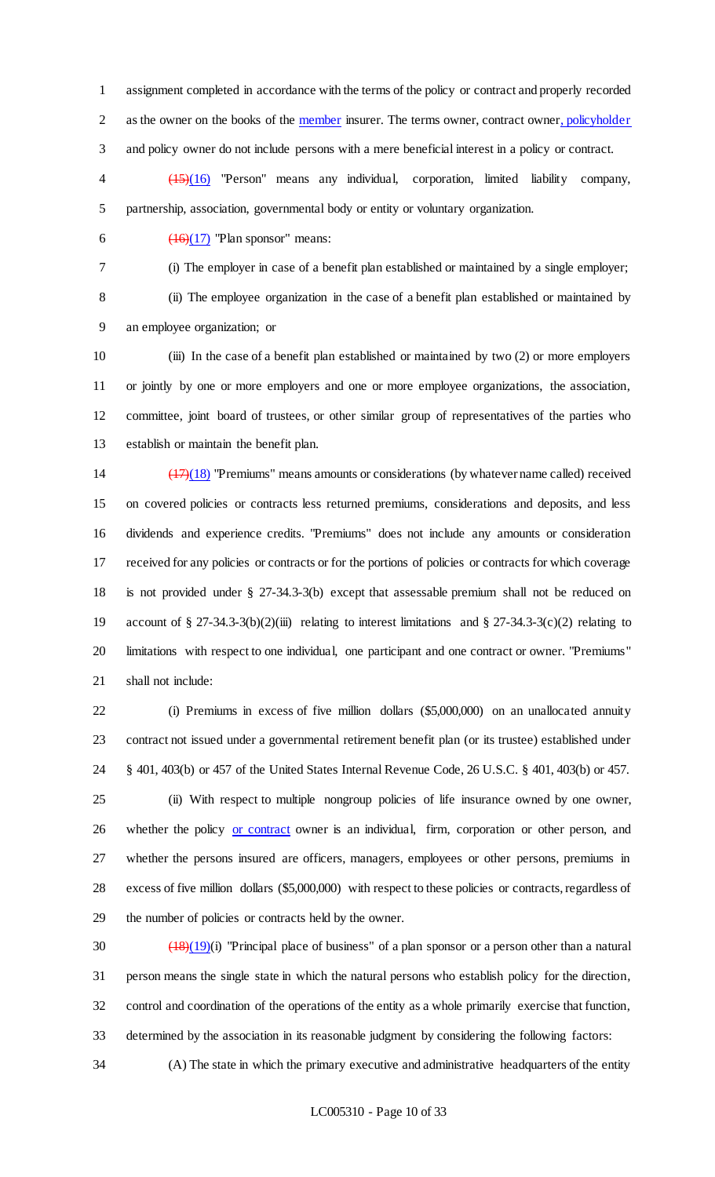assignment completed in accordance with the terms of the policy or contract and properly recorded 2 as the owner on the books of the member insurer. The terms owner, contract owner, policyholder and policy owner do not include persons with a mere beneficial interest in a policy or contract.

 (15)(16) "Person" means any individual, corporation, limited liability company, partnership, association, governmental body or entity or voluntary organization.

6  $\left(16\right)\left(17\right)$  "Plan sponsor" means:

(i) The employer in case of a benefit plan established or maintained by a single employer;

 (ii) The employee organization in the case of a benefit plan established or maintained by an employee organization; or

 (iii) In the case of a benefit plan established or maintained by two (2) or more employers or jointly by one or more employers and one or more employee organizations, the association, committee, joint board of trustees, or other similar group of representatives of the parties who establish or maintain the benefit plan.

 (17)(18) "Premiums" means amounts or considerations (by whatever name called) received on covered policies or contracts less returned premiums, considerations and deposits, and less dividends and experience credits. "Premiums" does not include any amounts or consideration received for any policies or contracts or for the portions of policies or contracts for which coverage is not provided under § 27-34.3-3(b) except that assessable premium shall not be reduced on account of § 27-34.3-3(b)(2)(iii) relating to interest limitations and § 27-34.3-3(c)(2) relating to limitations with respect to one individual, one participant and one contract or owner. "Premiums" shall not include:

 (i) Premiums in excess of five million dollars (\$5,000,000) on an unallocated annuity contract not issued under a governmental retirement benefit plan (or its trustee) established under § 401, 403(b) or 457 of the United States Internal Revenue Code, 26 U.S.C. § 401, 403(b) or 457.

 (ii) With respect to multiple nongroup policies of life insurance owned by one owner, 26 whether the policy or contract owner is an individual, firm, corporation or other person, and whether the persons insured are officers, managers, employees or other persons, premiums in excess of five million dollars (\$5,000,000) with respect to these policies or contracts, regardless of the number of policies or contracts held by the owner.

 $\left(\frac{(18)(19)}{(18)(19)}\right)$  "Principal place of business" of a plan sponsor or a person other than a natural person means the single state in which the natural persons who establish policy for the direction, control and coordination of the operations of the entity as a whole primarily exercise that function, determined by the association in its reasonable judgment by considering the following factors:

(A) The state in which the primary executive and administrative headquarters of the entity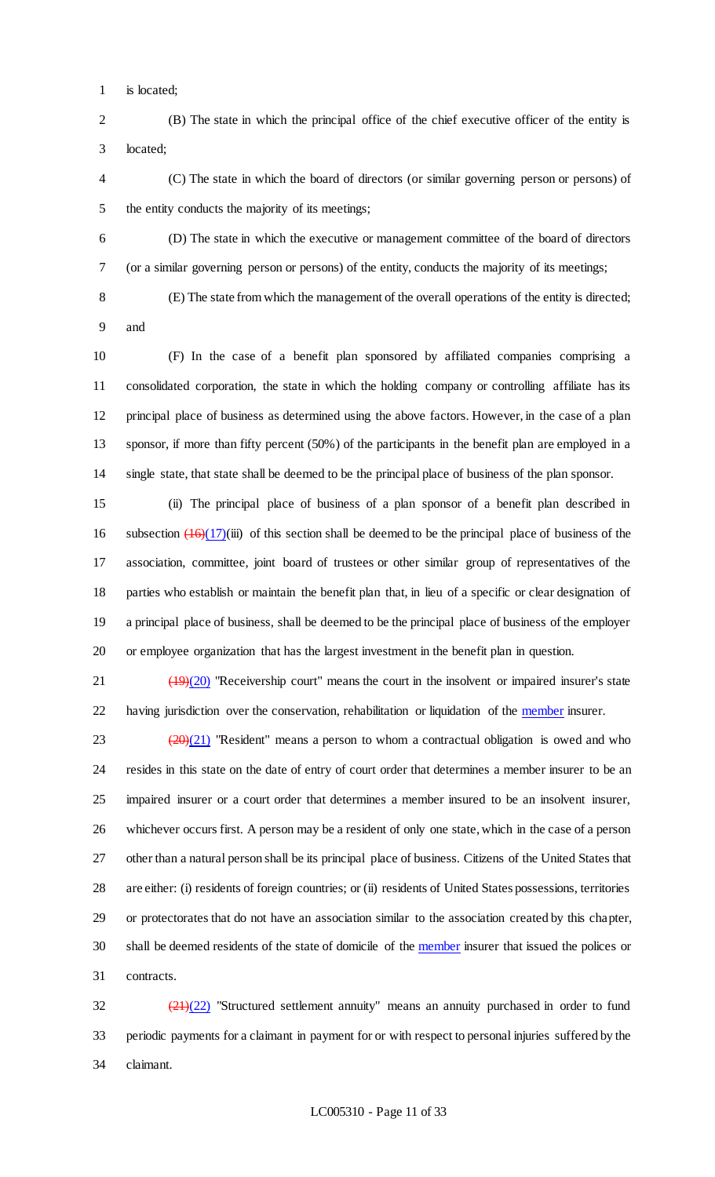is located;

 (B) The state in which the principal office of the chief executive officer of the entity is located;

 (C) The state in which the board of directors (or similar governing person or persons) of the entity conducts the majority of its meetings;

 (D) The state in which the executive or management committee of the board of directors (or a similar governing person or persons) of the entity, conducts the majority of its meetings;

(E) The state from which the management of the overall operations of the entity is directed;

and

 (F) In the case of a benefit plan sponsored by affiliated companies comprising a consolidated corporation, the state in which the holding company or controlling affiliate has its principal place of business as determined using the above factors. However, in the case of a plan sponsor, if more than fifty percent (50%) of the participants in the benefit plan are employed in a single state, that state shall be deemed to be the principal place of business of the plan sponsor.

 (ii) The principal place of business of a plan sponsor of a benefit plan described in 16 subsection  $\left( \frac{16}{17} \right)$ (iii) of this section shall be deemed to be the principal place of business of the association, committee, joint board of trustees or other similar group of representatives of the parties who establish or maintain the benefit plan that, in lieu of a specific or clear designation of a principal place of business, shall be deemed to be the principal place of business of the employer or employee organization that has the largest investment in the benefit plan in question.

21 (19)(20) "Receivership court" means the court in the insolvent or impaired insurer's state 22 having jurisdiction over the conservation, rehabilitation or liquidation of the member insurer.

 $(20)(21)$  "Resident" means a person to whom a contractual obligation is owed and who resides in this state on the date of entry of court order that determines a member insurer to be an impaired insurer or a court order that determines a member insured to be an insolvent insurer, whichever occurs first. A person may be a resident of only one state, which in the case of a person other than a natural person shall be its principal place of business. Citizens of the United States that are either: (i) residents of foreign countries; or (ii) residents of United States possessions, territories or protectorates that do not have an association similar to the association created by this chapter, 30 shall be deemed residents of the state of domicile of the member insurer that issued the polices or contracts.

 $\frac{(21)(22)}{21}$  "Structured settlement annuity" means an annuity purchased in order to fund periodic payments for a claimant in payment for or with respect to personal injuries suffered by the claimant.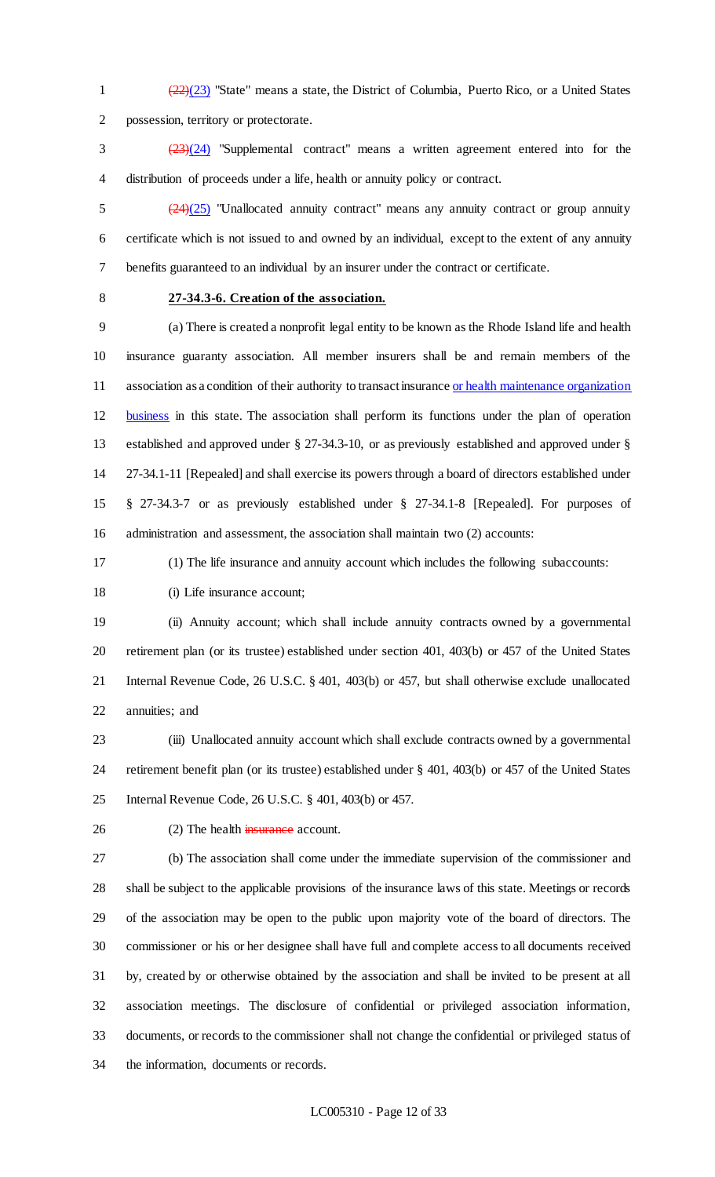1  $\left(\frac{(22)}{(23)}\right)$  "State" means a state, the District of Columbia, Puerto Rico, or a United States possession, territory or protectorate.

 (23)(24) "Supplemental contract" means a written agreement entered into for the distribution of proceeds under a life, health or annuity policy or contract.

 $\frac{(24)(25)}{24}$  "Unallocated annuity contract" means any annuity contract or group annuity certificate which is not issued to and owned by an individual, except to the extent of any annuity benefits guaranteed to an individual by an insurer under the contract or certificate.

### **27-34.3-6. Creation of the association.**

 (a) There is created a nonprofit legal entity to be known as the Rhode Island life and health insurance guaranty association. All member insurers shall be and remain members of the 11 association as a condition of their authority to transact insurance or health maintenance organization business in this state. The association shall perform its functions under the plan of operation established and approved under § 27-34.3-10, or as previously established and approved under § 27-34.1-11 [Repealed] and shall exercise its powers through a board of directors established under § 27-34.3-7 or as previously established under § 27-34.1-8 [Repealed]. For purposes of administration and assessment, the association shall maintain two (2) accounts:

(1) The life insurance and annuity account which includes the following subaccounts:

18 (i) Life insurance account;

 (ii) Annuity account; which shall include annuity contracts owned by a governmental retirement plan (or its trustee) established under section 401, 403(b) or 457 of the United States Internal Revenue Code, 26 U.S.C. § 401, 403(b) or 457, but shall otherwise exclude unallocated annuities; and

 (iii) Unallocated annuity account which shall exclude contracts owned by a governmental retirement benefit plan (or its trustee) established under § 401, 403(b) or 457 of the United States Internal Revenue Code, 26 U.S.C. § 401, 403(b) or 457.

26 (2) The health insurance account.

 (b) The association shall come under the immediate supervision of the commissioner and shall be subject to the applicable provisions of the insurance laws of this state. Meetings or records of the association may be open to the public upon majority vote of the board of directors. The commissioner or his or her designee shall have full and complete access to all documents received by, created by or otherwise obtained by the association and shall be invited to be present at all association meetings. The disclosure of confidential or privileged association information, documents, or records to the commissioner shall not change the confidential or privileged status of the information, documents or records.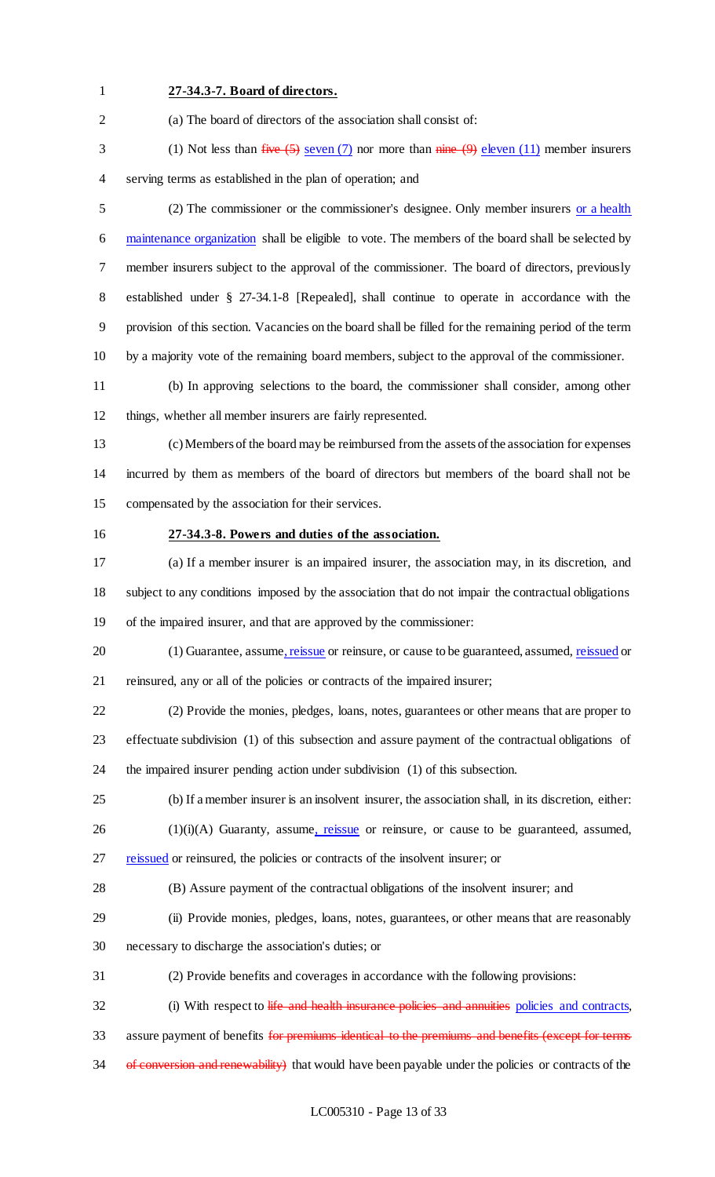### **27-34.3-7. Board of directors.**

(a) The board of directors of the association shall consist of:

3 (1) Not less than  $five (5)$  seven (7) nor more than  $nime (9)$  eleven (11) member insurers serving terms as established in the plan of operation; and

 (2) The commissioner or the commissioner's designee. Only member insurers or a health 6 maintenance organization shall be eligible to vote. The members of the board shall be selected by member insurers subject to the approval of the commissioner. The board of directors, previously established under § 27-34.1-8 [Repealed], shall continue to operate in accordance with the provision of this section. Vacancies on the board shall be filled for the remaining period of the term by a majority vote of the remaining board members, subject to the approval of the commissioner.

 (b) In approving selections to the board, the commissioner shall consider, among other things, whether all member insurers are fairly represented.

 (c) Members of the board may be reimbursed from the assets of the association for expenses incurred by them as members of the board of directors but members of the board shall not be compensated by the association for their services.

### **27-34.3-8. Powers and duties of the association.**

 (a) If a member insurer is an impaired insurer, the association may, in its discretion, and subject to any conditions imposed by the association that do not impair the contractual obligations of the impaired insurer, and that are approved by the commissioner:

20 (1) Guarantee, assume, reissue or reinsure, or cause to be guaranteed, assumed, reissued or reinsured, any or all of the policies or contracts of the impaired insurer;

 (2) Provide the monies, pledges, loans, notes, guarantees or other means that are proper to effectuate subdivision (1) of this subsection and assure payment of the contractual obligations of the impaired insurer pending action under subdivision (1) of this subsection.

(b) If a member insurer is an insolvent insurer, the association shall, in its discretion, either:

(1)(i)(A) Guaranty, assume, reissue or reinsure, or cause to be guaranteed, assumed,

27 reissued or reinsured, the policies or contracts of the insolvent insurer; or

(B) Assure payment of the contractual obligations of the insolvent insurer; and

(ii) Provide monies, pledges, loans, notes, guarantees, or other means that are reasonably

necessary to discharge the association's duties; or

(2) Provide benefits and coverages in accordance with the following provisions:

32 (i) With respect to life and health insurance policies and annuities policies and contracts,

33 assure payment of benefits for premiums identical to the premiums and benefits (except for terms

34 of conversion and renewability) that would have been payable under the policies or contracts of the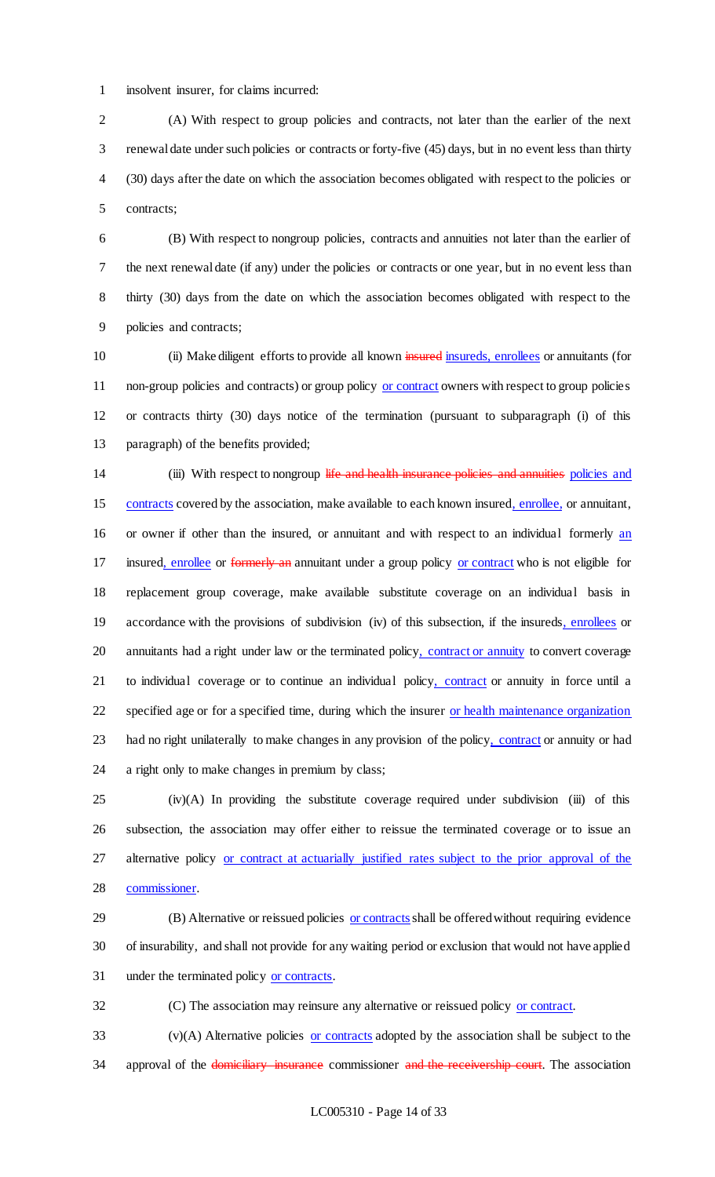insolvent insurer, for claims incurred:

 (A) With respect to group policies and contracts, not later than the earlier of the next renewal date under such policies or contracts or forty-five (45) days, but in no event less than thirty (30) days after the date on which the association becomes obligated with respect to the policies or contracts;

 (B) With respect to nongroup policies, contracts and annuities not later than the earlier of the next renewal date (if any) under the policies or contracts or one year, but in no event less than thirty (30) days from the date on which the association becomes obligated with respect to the policies and contracts;

10 (ii) Make diligent efforts to provide all known insured insureds, enrollees or annuitants (for 11 non-group policies and contracts) or group policy or contract owners with respect to group policies or contracts thirty (30) days notice of the termination (pursuant to subparagraph (i) of this paragraph) of the benefits provided;

14 (iii) With respect to nongroup life and health insurance policies and annuities policies and contracts covered by the association, make available to each known insured, enrollee, or annuitant, or owner if other than the insured, or annuitant and with respect to an individual formerly an 17 insured, enrollee or formerly an annuitant under a group policy or contract who is not eligible for replacement group coverage, make available substitute coverage on an individual basis in 19 accordance with the provisions of subdivision (iv) of this subsection, if the insureds, enrollees or 20 annuitants had a right under law or the terminated policy, contract or annuity to convert coverage 21 to individual coverage or to continue an individual policy, contract or annuity in force until a 22 specified age or for a specified time, during which the insurer or health maintenance organization 23 had no right unilaterally to make changes in any provision of the policy, contract or annuity or had a right only to make changes in premium by class;

 (iv)(A) In providing the substitute coverage required under subdivision (iii) of this subsection, the association may offer either to reissue the terminated coverage or to issue an 27 alternative policy or contract at actuarially justified rates subject to the prior approval of the commissioner.

29 (B) Alternative or reissued policies or contracts shall be offered without requiring evidence of insurability, and shall not provide for any waiting period or exclusion that would not have applied under the terminated policy or contracts.

(C) The association may reinsure any alternative or reissued policy or contract.

 (v)(A) Alternative policies or contracts adopted by the association shall be subject to the 34 approval of the domiciliary insurance commissioner and the receivership court. The association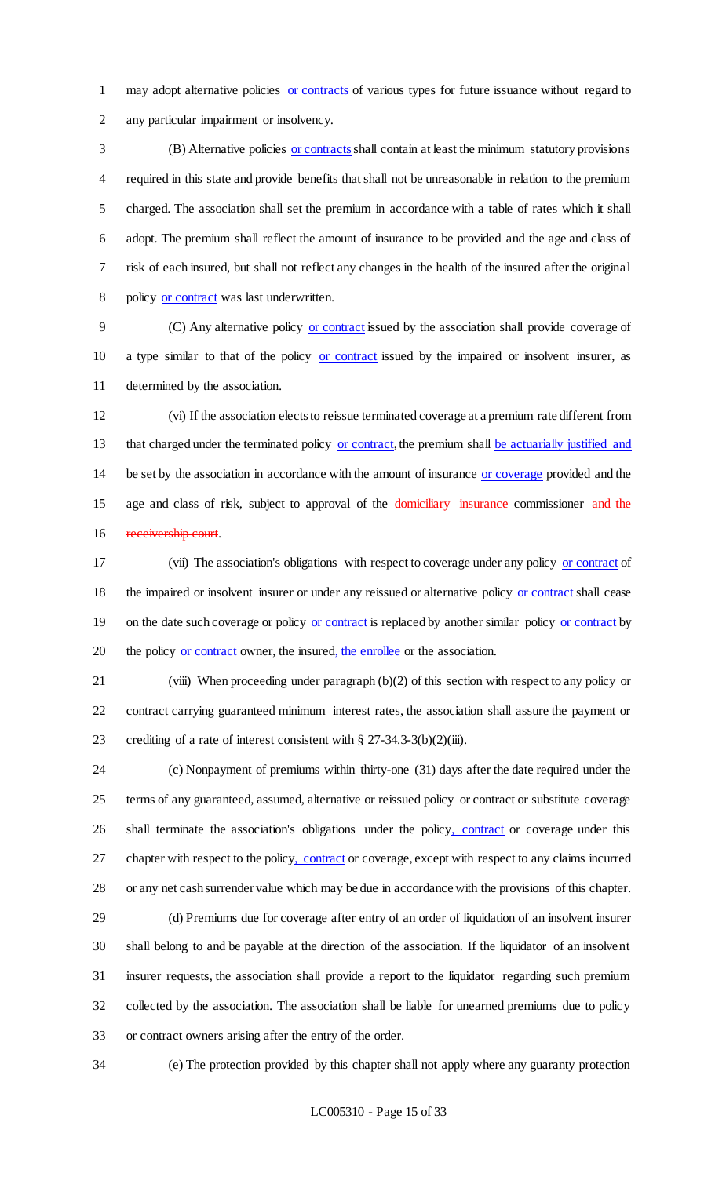may adopt alternative policies or contracts of various types for future issuance without regard to any particular impairment or insolvency.

3 (B) Alternative policies or contracts shall contain at least the minimum statutory provisions required in this state and provide benefits that shall not be unreasonable in relation to the premium charged. The association shall set the premium in accordance with a table of rates which it shall adopt. The premium shall reflect the amount of insurance to be provided and the age and class of risk of each insured, but shall not reflect any changes in the health of the insured after the original 8 policy or contract was last underwritten.

 (C) Any alternative policy or contract issued by the association shall provide coverage of 10 a type similar to that of the policy or contract issued by the impaired or insolvent insurer, as determined by the association.

 (vi) If the association elects to reissue terminated coverage at a premium rate different from 13 that charged under the terminated policy or contract, the premium shall be actuarially justified and 14 be set by the association in accordance with the amount of insurance or coverage provided and the 15 age and class of risk, subject to approval of the domiciliary insurance commissioner and the 16 receivership court.

 (vii) The association's obligations with respect to coverage under any policy or contract of the impaired or insolvent insurer or under any reissued or alternative policy or contract shall cease 19 on the date such coverage or policy or contract is replaced by another similar policy or contract by 20 the policy or contract owner, the insured, the enrollee or the association.

 (viii) When proceeding under paragraph (b)(2) of this section with respect to any policy or contract carrying guaranteed minimum interest rates, the association shall assure the payment or 23 crediting of a rate of interest consistent with § 27-34.3-3(b)(2)(iii).

 (c) Nonpayment of premiums within thirty-one (31) days after the date required under the terms of any guaranteed, assumed, alternative or reissued policy or contract or substitute coverage 26 shall terminate the association's obligations under the policy, contract or coverage under this 27 chapter with respect to the policy, contract or coverage, except with respect to any claims incurred or any net cash surrender value which may be due in accordance with the provisions of this chapter.

 (d) Premiums due for coverage after entry of an order of liquidation of an insolvent insurer shall belong to and be payable at the direction of the association. If the liquidator of an insolvent insurer requests, the association shall provide a report to the liquidator regarding such premium collected by the association. The association shall be liable for unearned premiums due to policy or contract owners arising after the entry of the order.

(e) The protection provided by this chapter shall not apply where any guaranty protection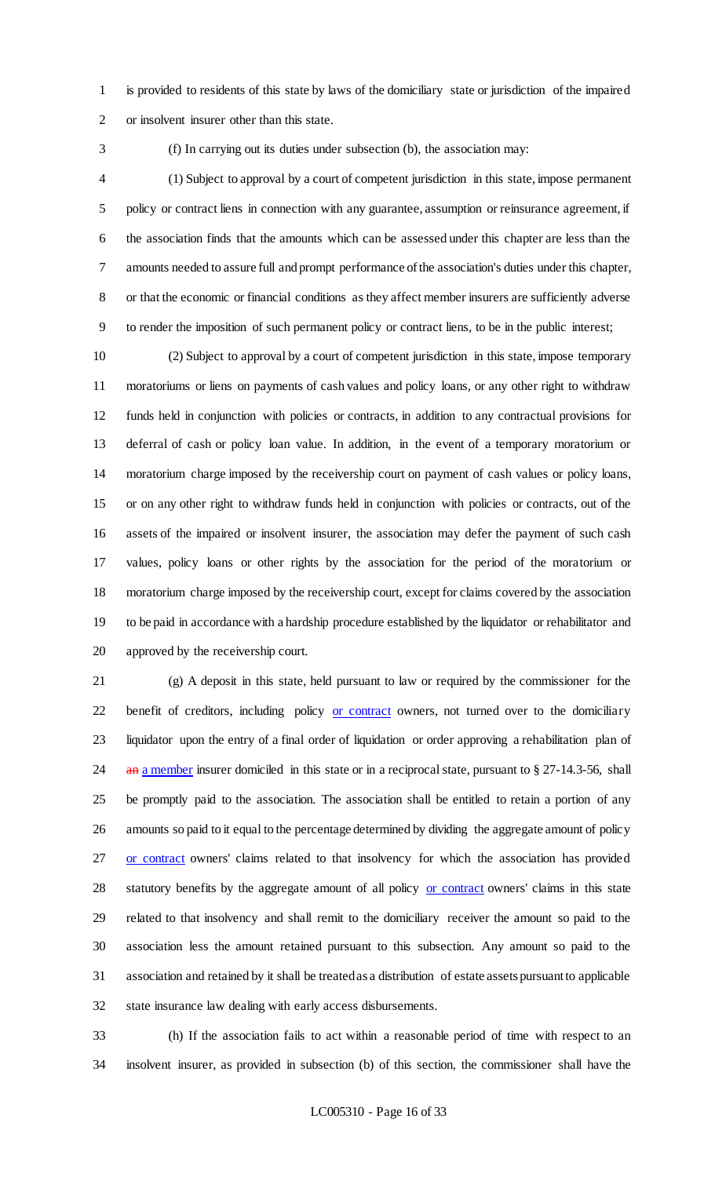is provided to residents of this state by laws of the domiciliary state or jurisdiction of the impaired or insolvent insurer other than this state.

(f) In carrying out its duties under subsection (b), the association may:

 (1) Subject to approval by a court of competent jurisdiction in this state, impose permanent policy or contract liens in connection with any guarantee, assumption or reinsurance agreement, if the association finds that the amounts which can be assessed under this chapter are less than the 7 amounts needed to assure full and prompt performance of the association's duties under this chapter, or that the economic or financial conditions as they affect member insurers are sufficiently adverse to render the imposition of such permanent policy or contract liens, to be in the public interest;

 (2) Subject to approval by a court of competent jurisdiction in this state, impose temporary moratoriums or liens on payments of cash values and policy loans, or any other right to withdraw funds held in conjunction with policies or contracts, in addition to any contractual provisions for deferral of cash or policy loan value. In addition, in the event of a temporary moratorium or moratorium charge imposed by the receivership court on payment of cash values or policy loans, or on any other right to withdraw funds held in conjunction with policies or contracts, out of the assets of the impaired or insolvent insurer, the association may defer the payment of such cash values, policy loans or other rights by the association for the period of the moratorium or moratorium charge imposed by the receivership court, except for claims covered by the association to be paid in accordance with a hardship procedure established by the liquidator or rehabilitator and approved by the receivership court.

 (g) A deposit in this state, held pursuant to law or required by the commissioner for the 22 benefit of creditors, including policy or contract owners, not turned over to the domiciliary liquidator upon the entry of a final order of liquidation or order approving a rehabilitation plan of 24 an a member insurer domiciled in this state or in a reciprocal state, pursuant to § 27-14.3-56, shall be promptly paid to the association. The association shall be entitled to retain a portion of any amounts so paid to it equal to the percentage determined by dividing the aggregate amount of policy 27 or contract owners' claims related to that insolvency for which the association has provided 28 statutory benefits by the aggregate amount of all policy or contract owners' claims in this state related to that insolvency and shall remit to the domiciliary receiver the amount so paid to the association less the amount retained pursuant to this subsection. Any amount so paid to the association and retained by it shall be treated as a distribution of estate assets pursuant to applicable state insurance law dealing with early access disbursements.

 (h) If the association fails to act within a reasonable period of time with respect to an insolvent insurer, as provided in subsection (b) of this section, the commissioner shall have the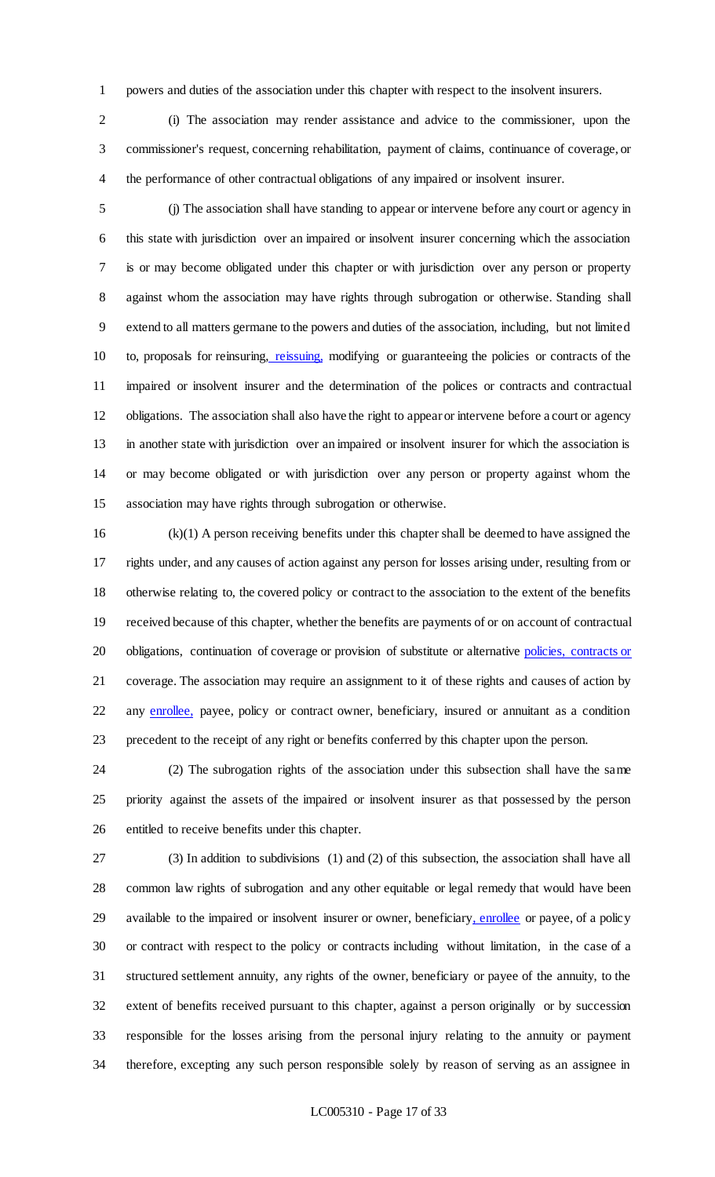powers and duties of the association under this chapter with respect to the insolvent insurers.

 (i) The association may render assistance and advice to the commissioner, upon the commissioner's request, concerning rehabilitation, payment of claims, continuance of coverage, or the performance of other contractual obligations of any impaired or insolvent insurer.

 (j) The association shall have standing to appear or intervene before any court or agency in this state with jurisdiction over an impaired or insolvent insurer concerning which the association is or may become obligated under this chapter or with jurisdiction over any person or property against whom the association may have rights through subrogation or otherwise. Standing shall extend to all matters germane to the powers and duties of the association, including, but not limited 10 to, proposals for reinsuring, reissuing, modifying or guaranteeing the policies or contracts of the 11 impaired or insolvent insurer and the determination of the polices or contracts and contractual obligations. The association shall also have the right to appear or intervene before a court or agency in another state with jurisdiction over an impaired or insolvent insurer for which the association is or may become obligated or with jurisdiction over any person or property against whom the association may have rights through subrogation or otherwise.

 (k)(1) A person receiving benefits under this chapter shall be deemed to have assigned the rights under, and any causes of action against any person for losses arising under, resulting from or otherwise relating to, the covered policy or contract to the association to the extent of the benefits received because of this chapter, whether the benefits are payments of or on account of contractual 20 obligations, continuation of coverage or provision of substitute or alternative policies, contracts or coverage. The association may require an assignment to it of these rights and causes of action by 22 any enrollee, payee, policy or contract owner, beneficiary, insured or annuitant as a condition precedent to the receipt of any right or benefits conferred by this chapter upon the person.

 (2) The subrogation rights of the association under this subsection shall have the same priority against the assets of the impaired or insolvent insurer as that possessed by the person entitled to receive benefits under this chapter.

 (3) In addition to subdivisions (1) and (2) of this subsection, the association shall have all common law rights of subrogation and any other equitable or legal remedy that would have been available to the impaired or insolvent insurer or owner, beneficiary, enrollee or payee, of a policy or contract with respect to the policy or contracts including without limitation, in the case of a structured settlement annuity, any rights of the owner, beneficiary or payee of the annuity, to the extent of benefits received pursuant to this chapter, against a person originally or by succession responsible for the losses arising from the personal injury relating to the annuity or payment therefore, excepting any such person responsible solely by reason of serving as an assignee in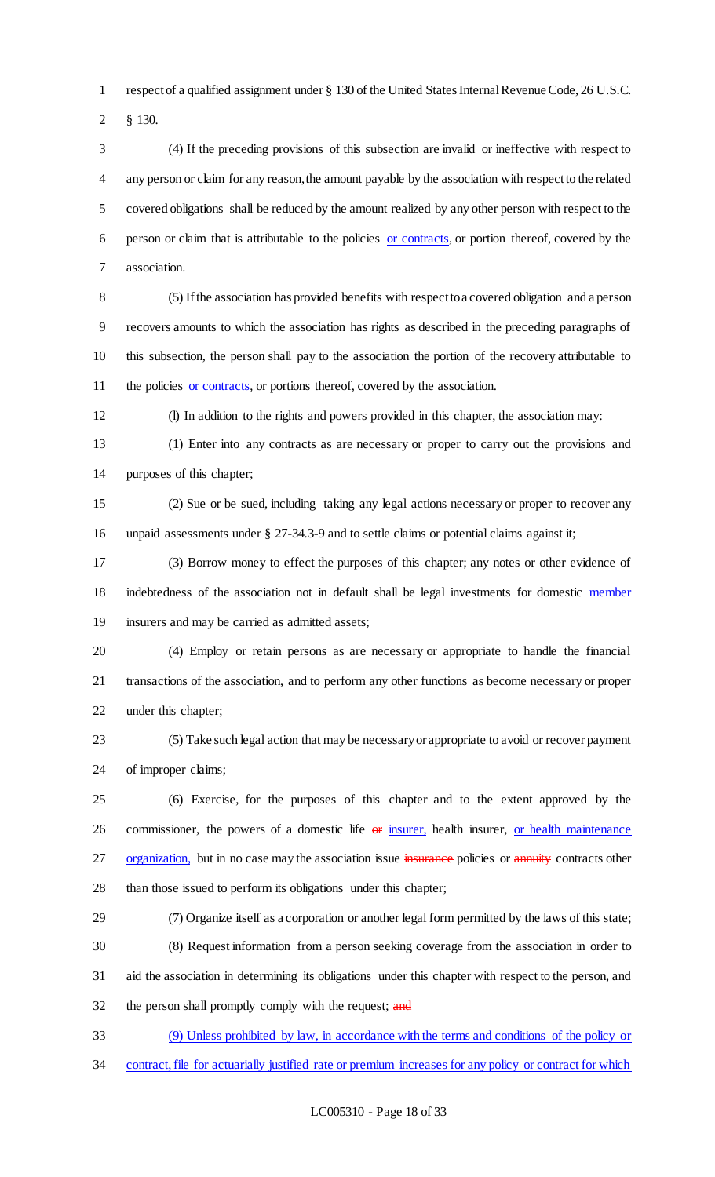respect of a qualified assignment under § 130 of the United States Internal Revenue Code, 26 U.S.C.

§ 130.

 (4) If the preceding provisions of this subsection are invalid or ineffective with respect to any person or claim for any reason, the amount payable by the association with respect to the related covered obligations shall be reduced by the amount realized by any other person with respect to the person or claim that is attributable to the policies or contracts, or portion thereof, covered by the association.

 (5) If the association has provided benefits with respect to a covered obligation and a person recovers amounts to which the association has rights as described in the preceding paragraphs of this subsection, the person shall pay to the association the portion of the recovery attributable to 11 the policies or contracts, or portions thereof, covered by the association.

(l) In addition to the rights and powers provided in this chapter, the association may:

 (1) Enter into any contracts as are necessary or proper to carry out the provisions and purposes of this chapter;

 (2) Sue or be sued, including taking any legal actions necessary or proper to recover any 16 unpaid assessments under § 27-34.3-9 and to settle claims or potential claims against it;

 (3) Borrow money to effect the purposes of this chapter; any notes or other evidence of indebtedness of the association not in default shall be legal investments for domestic member insurers and may be carried as admitted assets;

 (4) Employ or retain persons as are necessary or appropriate to handle the financial transactions of the association, and to perform any other functions as become necessary or proper under this chapter;

 (5) Take such legal action that may be necessary or appropriate to avoid or recover payment of improper claims;

 (6) Exercise, for the purposes of this chapter and to the extent approved by the 26 commissioner, the powers of a domestic life  $\Theta$  insurer, health insurer, or health maintenance 27 organization, but in no case may the association issue insurance policies or annuity contracts other than those issued to perform its obligations under this chapter;

 (7) Organize itself as a corporation or another legal form permitted by the laws of this state; (8) Request information from a person seeking coverage from the association in order to aid the association in determining its obligations under this chapter with respect to the person, and 32 the person shall promptly comply with the request; and

 (9) Unless prohibited by law, in accordance with the terms and conditions of the policy or contract, file for actuarially justified rate or premium increases for any policy or contract for which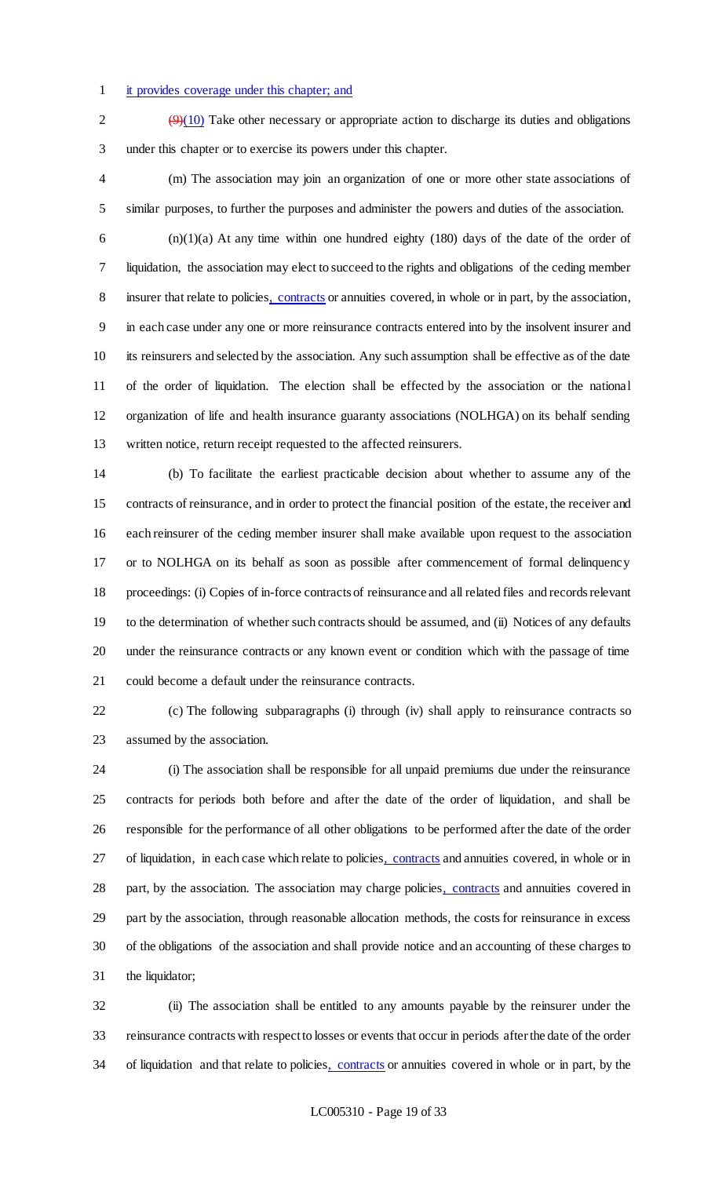### it provides coverage under this chapter; and

 $\sqrt{9(10)}$  Take other necessary or appropriate action to discharge its duties and obligations under this chapter or to exercise its powers under this chapter.

 (m) The association may join an organization of one or more other state associations of similar purposes, to further the purposes and administer the powers and duties of the association.

 $(n)(1)(a)$  At any time within one hundred eighty (180) days of the date of the order of liquidation, the association may elect to succeed to the rights and obligations of the ceding member 8 insurer that relate to policies, contracts or annuities covered, in whole or in part, by the association, in each case under any one or more reinsurance contracts entered into by the insolvent insurer and its reinsurers and selected by the association. Any such assumption shall be effective as of the date of the order of liquidation. The election shall be effected by the association or the national organization of life and health insurance guaranty associations (NOLHGA) on its behalf sending written notice, return receipt requested to the affected reinsurers.

 (b) To facilitate the earliest practicable decision about whether to assume any of the contracts of reinsurance, and in order to protect the financial position of the estate, the receiver and each reinsurer of the ceding member insurer shall make available upon request to the association or to NOLHGA on its behalf as soon as possible after commencement of formal delinquency proceedings: (i) Copies of in-force contracts of reinsurance and all related files and records relevant to the determination of whether such contracts should be assumed, and (ii) Notices of any defaults under the reinsurance contracts or any known event or condition which with the passage of time could become a default under the reinsurance contracts.

 (c) The following subparagraphs (i) through (iv) shall apply to reinsurance contracts so assumed by the association.

 (i) The association shall be responsible for all unpaid premiums due under the reinsurance contracts for periods both before and after the date of the order of liquidation, and shall be responsible for the performance of all other obligations to be performed after the date of the order 27 of liquidation, in each case which relate to policies, contracts and annuities covered, in whole or in 28 part, by the association. The association may charge policies, contracts and annuities covered in part by the association, through reasonable allocation methods, the costs for reinsurance in excess of the obligations of the association and shall provide notice and an accounting of these charges to the liquidator;

 (ii) The association shall be entitled to any amounts payable by the reinsurer under the reinsurance contracts with respect to losses or events that occur in periods after the date of the order 34 of liquidation and that relate to policies, contracts or annuities covered in whole or in part, by the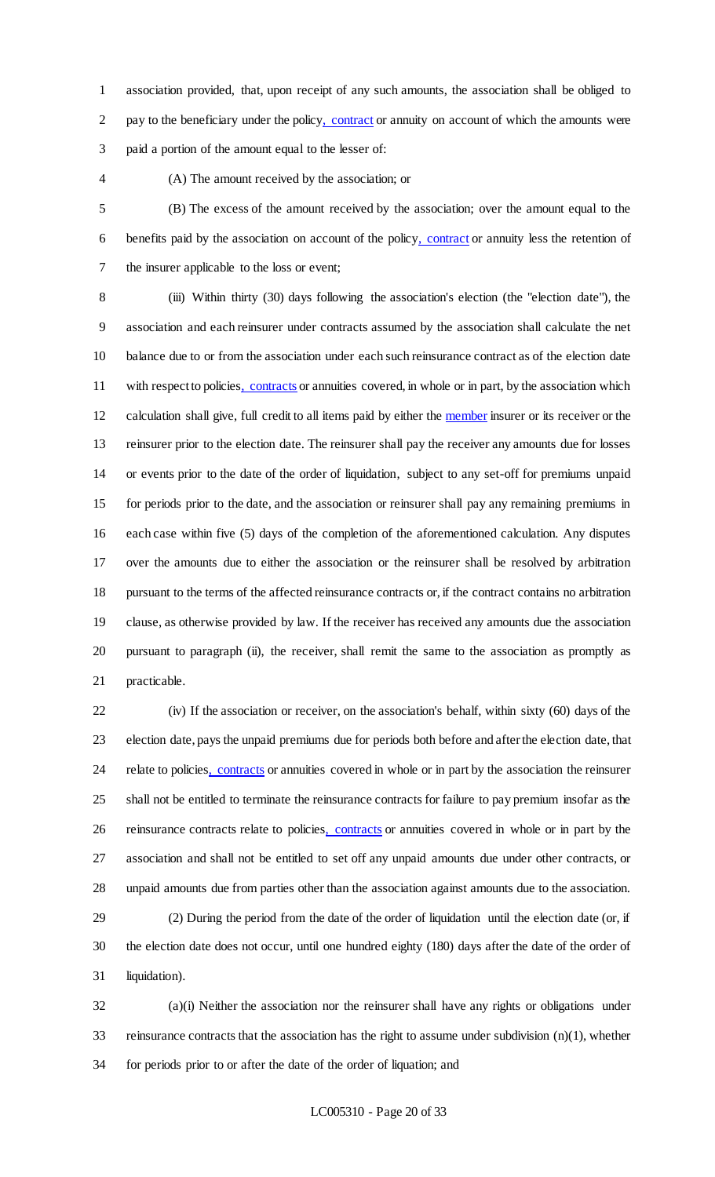association provided, that, upon receipt of any such amounts, the association shall be obliged to 2 pay to the beneficiary under the policy, contract or annuity on account of which the amounts were paid a portion of the amount equal to the lesser of:

### (A) The amount received by the association; or

 (B) The excess of the amount received by the association; over the amount equal to the benefits paid by the association on account of the policy, contract or annuity less the retention of the insurer applicable to the loss or event;

 (iii) Within thirty (30) days following the association's election (the "election date"), the association and each reinsurer under contracts assumed by the association shall calculate the net balance due to or from the association under each such reinsurance contract as of the election date 11 with respect to policies, contracts or annuities covered, in whole or in part, by the association which calculation shall give, full credit to all items paid by either the member insurer or its receiver or the reinsurer prior to the election date. The reinsurer shall pay the receiver any amounts due for losses or events prior to the date of the order of liquidation, subject to any set-off for premiums unpaid for periods prior to the date, and the association or reinsurer shall pay any remaining premiums in each case within five (5) days of the completion of the aforementioned calculation. Any disputes over the amounts due to either the association or the reinsurer shall be resolved by arbitration pursuant to the terms of the affected reinsurance contracts or, if the contract contains no arbitration clause, as otherwise provided by law. If the receiver has received any amounts due the association pursuant to paragraph (ii), the receiver, shall remit the same to the association as promptly as practicable.

 (iv) If the association or receiver, on the association's behalf, within sixty (60) days of the election date, pays the unpaid premiums due for periods both before and after the election date, that 24 relate to policies, contracts or annuities covered in whole or in part by the association the reinsurer shall not be entitled to terminate the reinsurance contracts for failure to pay premium insofar as the reinsurance contracts relate to policies, contracts or annuities covered in whole or in part by the association and shall not be entitled to set off any unpaid amounts due under other contracts, or unpaid amounts due from parties other than the association against amounts due to the association.

 (2) During the period from the date of the order of liquidation until the election date (or, if the election date does not occur, until one hundred eighty (180) days after the date of the order of liquidation).

 (a)(i) Neither the association nor the reinsurer shall have any rights or obligations under reinsurance contracts that the association has the right to assume under subdivision (n)(1), whether for periods prior to or after the date of the order of liquation; and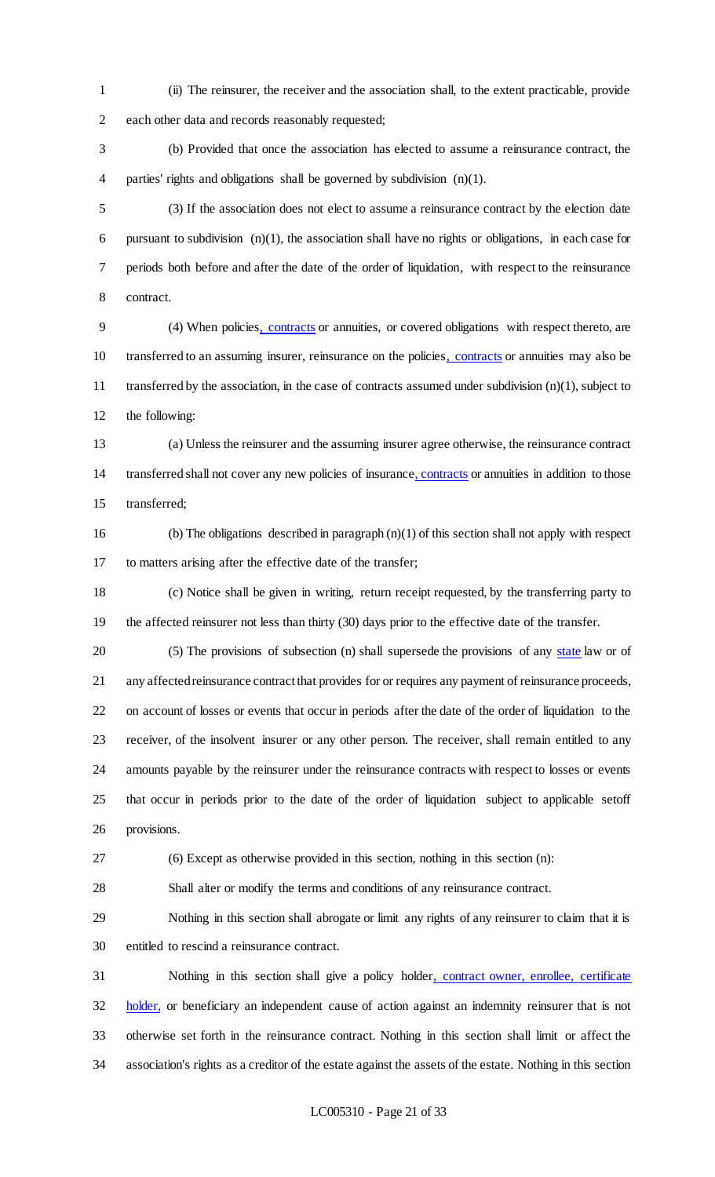(ii) The reinsurer, the receiver and the association shall, to the extent practicable, provide each other data and records reasonably requested;

 (b) Provided that once the association has elected to assume a reinsurance contract, the parties' rights and obligations shall be governed by subdivision (n)(1).

 (3) If the association does not elect to assume a reinsurance contract by the election date pursuant to subdivision (n)(1), the association shall have no rights or obligations, in each case for periods both before and after the date of the order of liquidation, with respect to the reinsurance contract.

 (4) When policies, contracts or annuities, or covered obligations with respect thereto, are transferred to an assuming insurer, reinsurance on the policies, contracts or annuities may also be transferred by the association, in the case of contracts assumed under subdivision (n)(1), subject to the following:

 (a) Unless the reinsurer and the assuming insurer agree otherwise, the reinsurance contract transferred shall not cover any new policies of insurance, contracts or annuities in addition to those transferred;

16 (b) The obligations described in paragraph  $(n)(1)$  of this section shall not apply with respect to matters arising after the effective date of the transfer;

 (c) Notice shall be given in writing, return receipt requested, by the transferring party to the affected reinsurer not less than thirty (30) days prior to the effective date of the transfer.

20 (5) The provisions of subsection (n) shall supersede the provisions of any state law or of any affected reinsurance contract that provides for or requires any payment of reinsurance proceeds, on account of losses or events that occur in periods after the date of the order of liquidation to the receiver, of the insolvent insurer or any other person. The receiver, shall remain entitled to any amounts payable by the reinsurer under the reinsurance contracts with respect to losses or events that occur in periods prior to the date of the order of liquidation subject to applicable setoff provisions.

(6) Except as otherwise provided in this section, nothing in this section (n):

Shall alter or modify the terms and conditions of any reinsurance contract.

 Nothing in this section shall abrogate or limit any rights of any reinsurer to claim that it is entitled to rescind a reinsurance contract.

 Nothing in this section shall give a policy holder, contract owner, enrollee, certificate holder, or beneficiary an independent cause of action against an indemnity reinsurer that is not otherwise set forth in the reinsurance contract. Nothing in this section shall limit or affect the association's rights as a creditor of the estate against the assets of the estate. Nothing in this section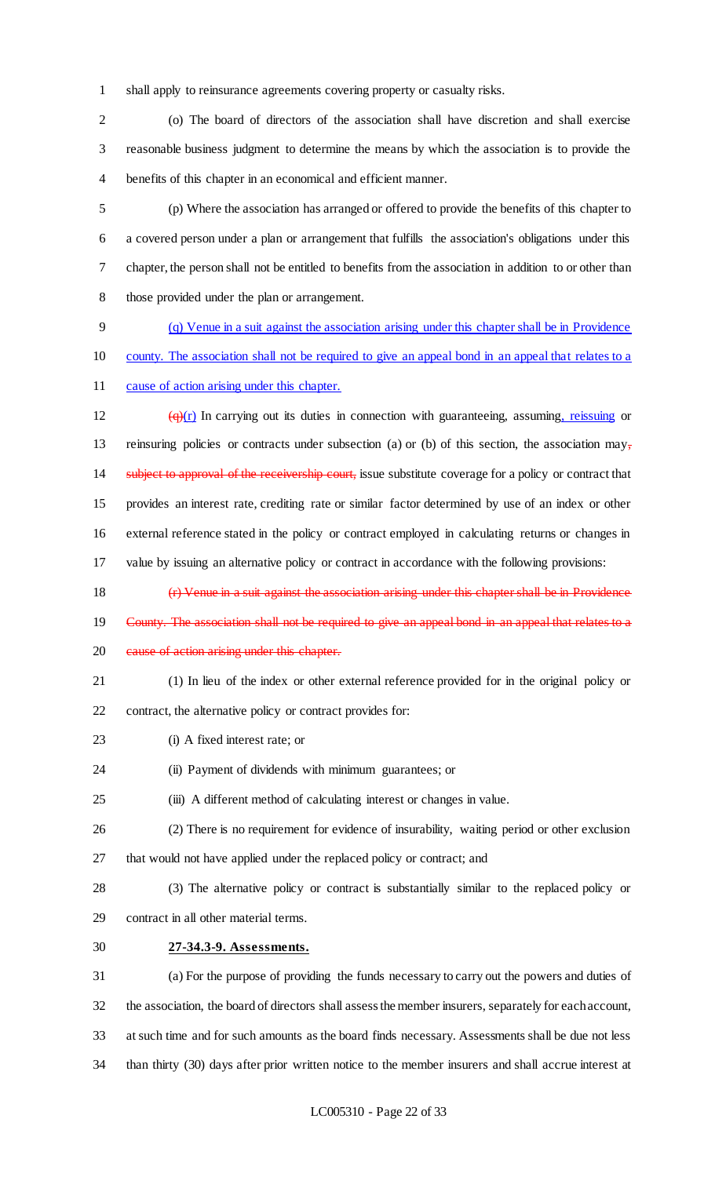shall apply to reinsurance agreements covering property or casualty risks.

 (o) The board of directors of the association shall have discretion and shall exercise reasonable business judgment to determine the means by which the association is to provide the benefits of this chapter in an economical and efficient manner.

 (p) Where the association has arranged or offered to provide the benefits of this chapter to a covered person under a plan or arrangement that fulfills the association's obligations under this chapter, the person shall not be entitled to benefits from the association in addition to or other than those provided under the plan or arrangement.

 (q) Venue in a suit against the association arising under this chapter shall be in Providence county. The association shall not be required to give an appeal bond in an appeal that relates to a

cause of action arising under this chapter.

 $(q)(r)$  In carrying out its duties in connection with guaranteeing, assuming, reissuing or 13 reinsuring policies or contracts under subsection (a) or (b) of this section, the association may, 14 subject to approval of the receivership court, issue substitute coverage for a policy or contract that provides an interest rate, crediting rate or similar factor determined by use of an index or other external reference stated in the policy or contract employed in calculating returns or changes in value by issuing an alternative policy or contract in accordance with the following provisions:

(r) Venue in a suit against the association arising under this chapter shall be in Providence

- County. The association shall not be required to give an appeal bond in an appeal that relates to a
- 20 eause of action arising under this chapter.
- (1) In lieu of the index or other external reference provided for in the original policy or

contract, the alternative policy or contract provides for:

- (i) A fixed interest rate; or
- (ii) Payment of dividends with minimum guarantees; or
- (iii) A different method of calculating interest or changes in value.
- (2) There is no requirement for evidence of insurability, waiting period or other exclusion that would not have applied under the replaced policy or contract; and
- (3) The alternative policy or contract is substantially similar to the replaced policy or contract in all other material terms.
- **27-34.3-9. Assessments.**

 (a) For the purpose of providing the funds necessary to carry out the powers and duties of the association, the board of directors shall assess the member insurers, separately for each account, at such time and for such amounts as the board finds necessary. Assessments shall be due not less than thirty (30) days after prior written notice to the member insurers and shall accrue interest at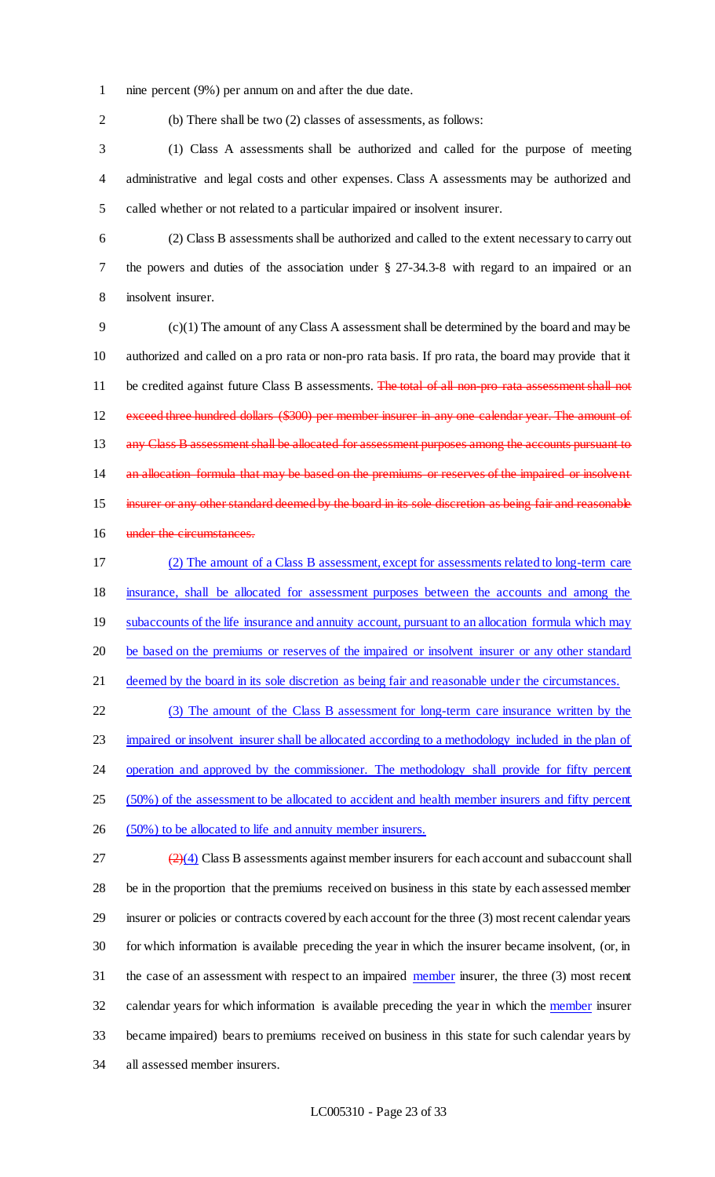- 1 nine percent (9%) per annum on and after the due date.
- 

2 (b) There shall be two (2) classes of assessments, as follows:

3 (1) Class A assessments shall be authorized and called for the purpose of meeting 4 administrative and legal costs and other expenses. Class A assessments may be authorized and 5 called whether or not related to a particular impaired or insolvent insurer.

6 (2) Class B assessments shall be authorized and called to the extent necessary to carry out 7 the powers and duties of the association under § 27-34.3-8 with regard to an impaired or an 8 insolvent insurer.

9 (c)(1) The amount of any Class A assessment shall be determined by the board and may be 10 authorized and called on a pro rata or non-pro rata basis. If pro rata, the board may provide that it 11 be credited against future Class B assessments. The total of all non-pro-rata assessment shall not 12 exceed three hundred dollars (\$300) per member insurer in any one calendar year. The amount of 13 any Class B assessment shall be allocated for assessment purposes among the accounts pursuant to 14 an allocation formula that may be based on the premiums or reserves of the impaired or insolvent 15 insurer or any other standard deemed by the board in its sole discretion as being fair and reasonable 16 under the circumstances.

17 (2) The amount of a Class B assessment, except for assessments related to long-term care 18 insurance, shall be allocated for assessment purposes between the accounts and among the 19 subaccounts of the life insurance and annuity account, pursuant to an allocation formula which may 20 be based on the premiums or reserves of the impaired or insolvent insurer or any other standard 21 deemed by the board in its sole discretion as being fair and reasonable under the circumstances.

22 (3) The amount of the Class B assessment for long-term care insurance written by the 23 impaired or insolvent insurer shall be allocated according to a methodology included in the plan of 24 operation and approved by the commissioner. The methodology shall provide for fifty percent 25 (50%) of the assessment to be allocated to accident and health member insurers and fifty percent

26 (50%) to be allocated to life and annuity member insurers.

 $\left( \frac{2}{4} \right)$  Class B assessments against member insurers for each account and subaccount shall be in the proportion that the premiums received on business in this state by each assessed member insurer or policies or contracts covered by each account for the three (3) most recent calendar years for which information is available preceding the year in which the insurer became insolvent, (or, in 31 the case of an assessment with respect to an impaired member insurer, the three (3) most recent 32 calendar years for which information is available preceding the year in which the member insurer became impaired) bears to premiums received on business in this state for such calendar years by all assessed member insurers.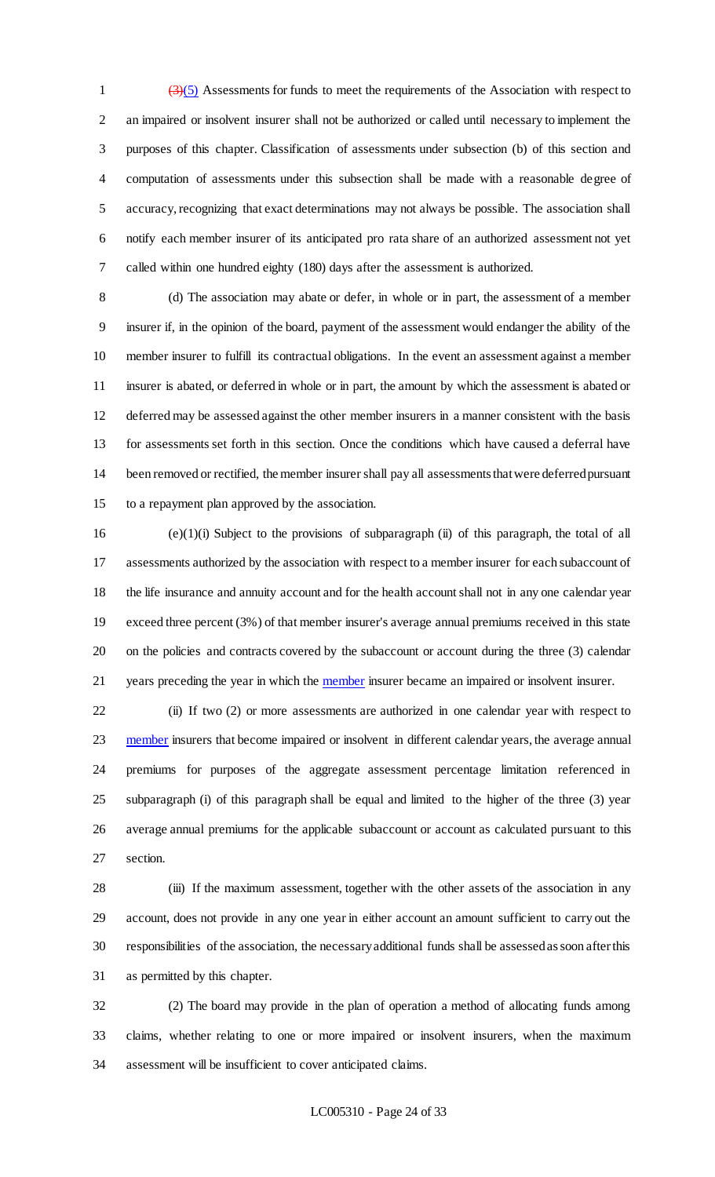$\left(\frac{3}{5}\right)$  Assessments for funds to meet the requirements of the Association with respect to an impaired or insolvent insurer shall not be authorized or called until necessary to implement the purposes of this chapter. Classification of assessments under subsection (b) of this section and computation of assessments under this subsection shall be made with a reasonable degree of accuracy, recognizing that exact determinations may not always be possible. The association shall notify each member insurer of its anticipated pro rata share of an authorized assessment not yet called within one hundred eighty (180) days after the assessment is authorized.

 (d) The association may abate or defer, in whole or in part, the assessment of a member insurer if, in the opinion of the board, payment of the assessment would endanger the ability of the member insurer to fulfill its contractual obligations. In the event an assessment against a member insurer is abated, or deferred in whole or in part, the amount by which the assessment is abated or deferred may be assessed against the other member insurers in a manner consistent with the basis for assessments set forth in this section. Once the conditions which have caused a deferral have been removed or rectified, the member insurer shall pay all assessments that were deferred pursuant to a repayment plan approved by the association.

 (e)(1)(i) Subject to the provisions of subparagraph (ii) of this paragraph, the total of all assessments authorized by the association with respect to a member insurer for each subaccount of the life insurance and annuity account and for the health account shall not in any one calendar year exceed three percent (3%) of that member insurer's average annual premiums received in this state on the policies and contracts covered by the subaccount or account during the three (3) calendar 21 years preceding the year in which the **member** insurer became an impaired or insolvent insurer.

 (ii) If two (2) or more assessments are authorized in one calendar year with respect to 23 member insurers that become impaired or insolvent in different calendar years, the average annual premiums for purposes of the aggregate assessment percentage limitation referenced in subparagraph (i) of this paragraph shall be equal and limited to the higher of the three (3) year average annual premiums for the applicable subaccount or account as calculated pursuant to this section.

 (iii) If the maximum assessment, together with the other assets of the association in any account, does not provide in any one year in either account an amount sufficient to carry out the responsibilities of the association, the necessary additional funds shall be assessed as soon after this as permitted by this chapter.

 (2) The board may provide in the plan of operation a method of allocating funds among claims, whether relating to one or more impaired or insolvent insurers, when the maximum assessment will be insufficient to cover anticipated claims.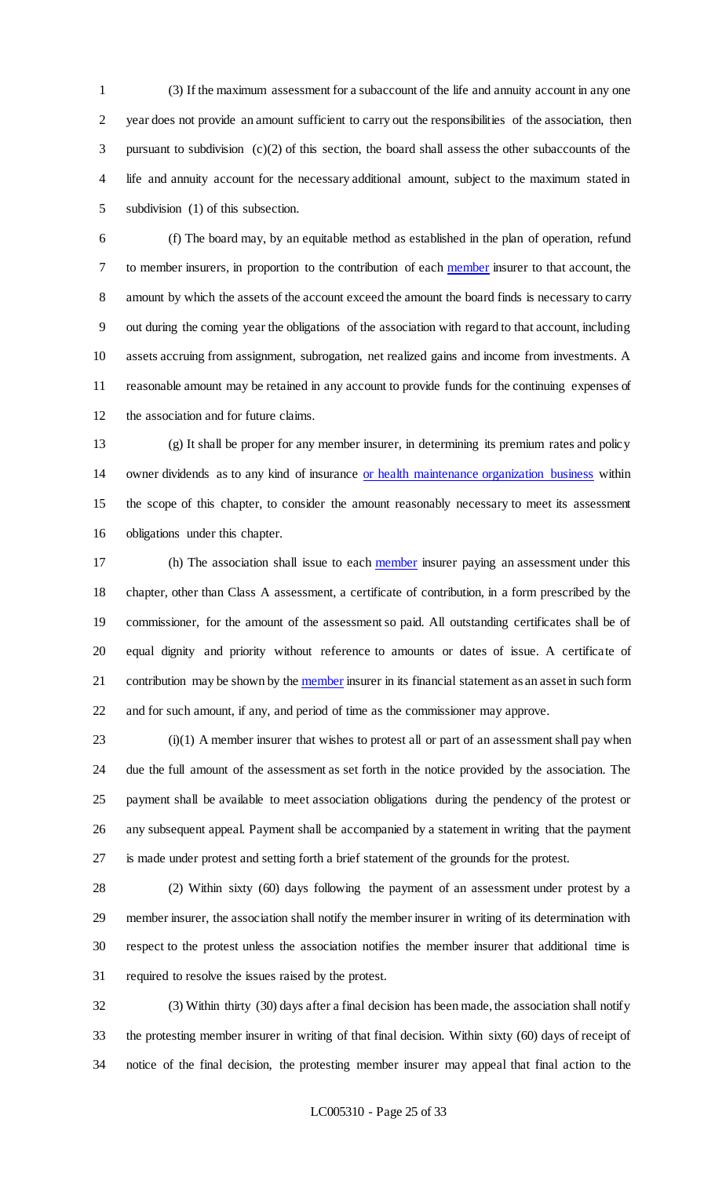(3) If the maximum assessment for a subaccount of the life and annuity account in any one year does not provide an amount sufficient to carry out the responsibilities of the association, then pursuant to subdivision (c)(2) of this section, the board shall assess the other subaccounts of the life and annuity account for the necessary additional amount, subject to the maximum stated in subdivision (1) of this subsection.

 (f) The board may, by an equitable method as established in the plan of operation, refund to member insurers, in proportion to the contribution of each member insurer to that account, the amount by which the assets of the account exceed the amount the board finds is necessary to carry out during the coming year the obligations of the association with regard to that account, including assets accruing from assignment, subrogation, net realized gains and income from investments. A reasonable amount may be retained in any account to provide funds for the continuing expenses of the association and for future claims.

 (g) It shall be proper for any member insurer, in determining its premium rates and policy owner dividends as to any kind of insurance or health maintenance organization business within the scope of this chapter, to consider the amount reasonably necessary to meet its assessment obligations under this chapter.

17 (h) The association shall issue to each member insurer paying an assessment under this chapter, other than Class A assessment, a certificate of contribution, in a form prescribed by the commissioner, for the amount of the assessment so paid. All outstanding certificates shall be of equal dignity and priority without reference to amounts or dates of issue. A certificate of 21 contribution may be shown by the member insurer in its financial statement as an asset in such form and for such amount, if any, and period of time as the commissioner may approve.

 (i)(1) A member insurer that wishes to protest all or part of an assessment shall pay when due the full amount of the assessment as set forth in the notice provided by the association. The payment shall be available to meet association obligations during the pendency of the protest or any subsequent appeal. Payment shall be accompanied by a statement in writing that the payment is made under protest and setting forth a brief statement of the grounds for the protest.

 (2) Within sixty (60) days following the payment of an assessment under protest by a member insurer, the association shall notify the member insurer in writing of its determination with respect to the protest unless the association notifies the member insurer that additional time is required to resolve the issues raised by the protest.

 (3) Within thirty (30) days after a final decision has been made, the association shall notify the protesting member insurer in writing of that final decision. Within sixty (60) days of receipt of notice of the final decision, the protesting member insurer may appeal that final action to the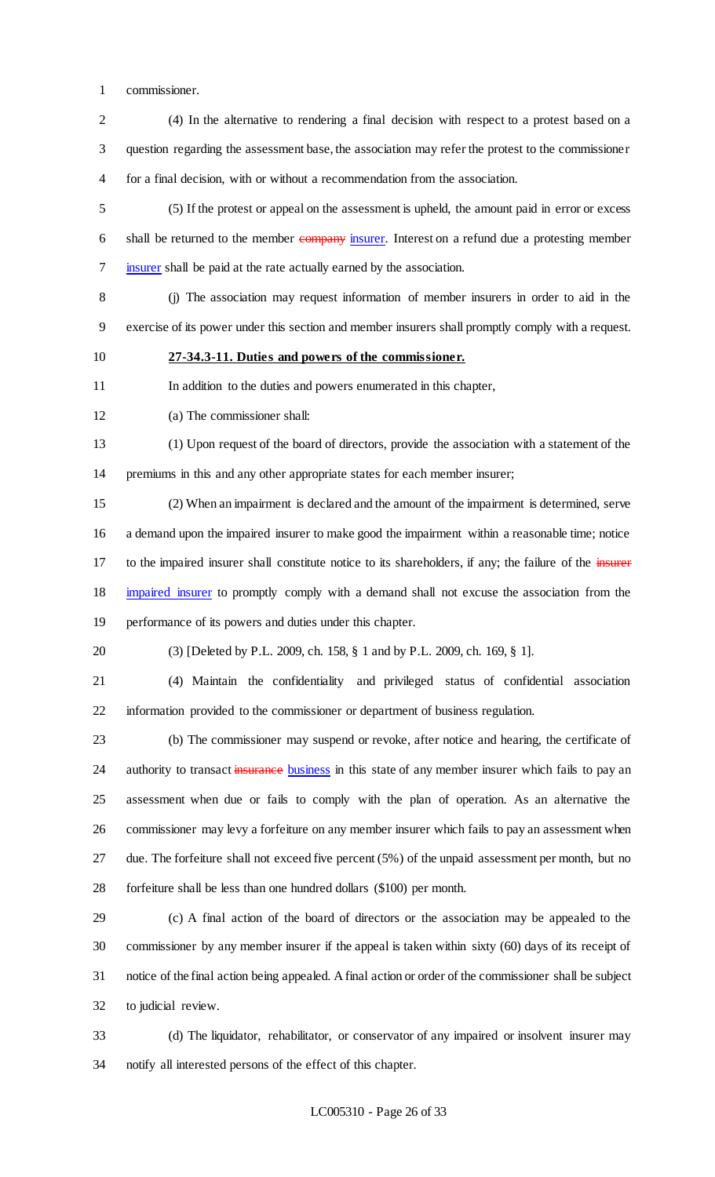commissioner.

 (4) In the alternative to rendering a final decision with respect to a protest based on a question regarding the assessment base, the association may refer the protest to the commissioner for a final decision, with or without a recommendation from the association.

 (5) If the protest or appeal on the assessment is upheld, the amount paid in error or excess 6 shall be returned to the member company insurer. Interest on a refund due a protesting member insurer shall be paid at the rate actually earned by the association.

 (j) The association may request information of member insurers in order to aid in the exercise of its power under this section and member insurers shall promptly comply with a request.

**27-34.3-11. Duties and powers of the commissioner.**

In addition to the duties and powers enumerated in this chapter,

(a) The commissioner shall:

 (1) Upon request of the board of directors, provide the association with a statement of the premiums in this and any other appropriate states for each member insurer;

 (2) When an impairment is declared and the amount of the impairment is determined, serve a demand upon the impaired insurer to make good the impairment within a reasonable time; notice 17 to the impaired insurer shall constitute notice to its shareholders, if any; the failure of the insurer impaired insurer to promptly comply with a demand shall not excuse the association from the performance of its powers and duties under this chapter.

(3) [Deleted by P.L. 2009, ch. 158, § 1 and by P.L. 2009, ch. 169, § 1].

 (4) Maintain the confidentiality and privileged status of confidential association information provided to the commissioner or department of business regulation.

 (b) The commissioner may suspend or revoke, after notice and hearing, the certificate of 24 authority to transact insurance business in this state of any member insurer which fails to pay an assessment when due or fails to comply with the plan of operation. As an alternative the commissioner may levy a forfeiture on any member insurer which fails to pay an assessment when due. The forfeiture shall not exceed five percent (5%) of the unpaid assessment per month, but no forfeiture shall be less than one hundred dollars (\$100) per month.

 (c) A final action of the board of directors or the association may be appealed to the commissioner by any member insurer if the appeal is taken within sixty (60) days of its receipt of notice of the final action being appealed. A final action or order of the commissioner shall be subject to judicial review.

 (d) The liquidator, rehabilitator, or conservator of any impaired or insolvent insurer may notify all interested persons of the effect of this chapter.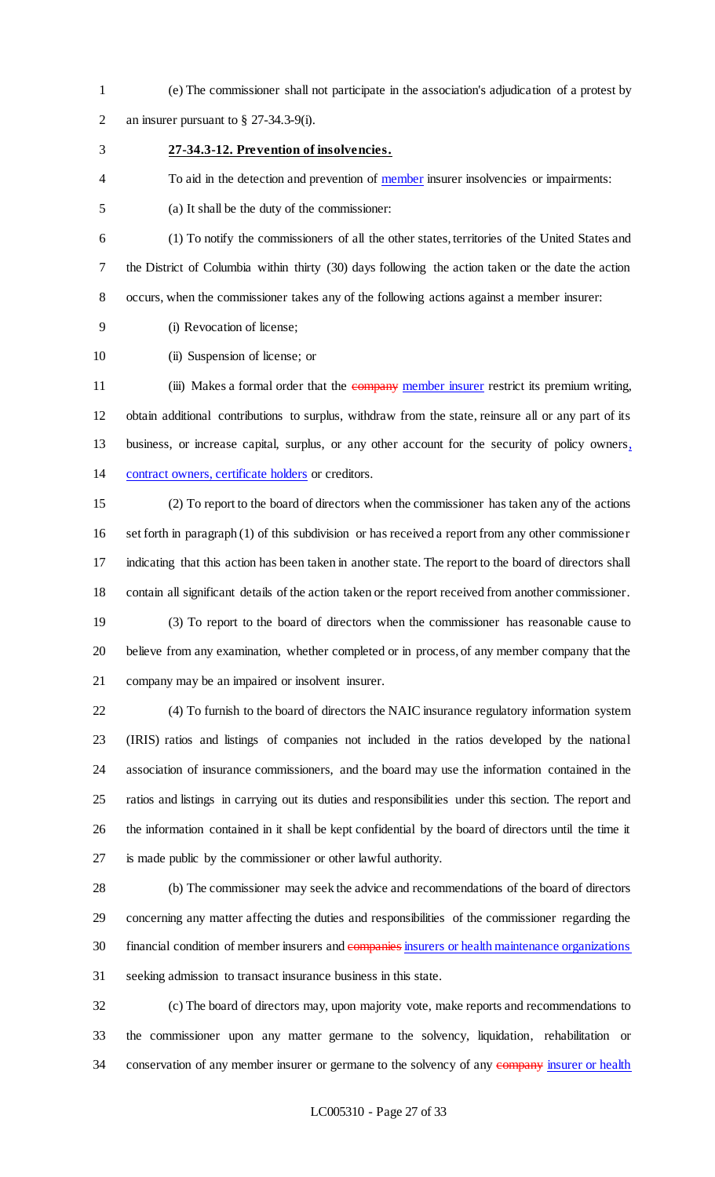(e) The commissioner shall not participate in the association's adjudication of a protest by an insurer pursuant to § 27-34.3-9(i).

### **27-34.3-12. Prevention of insolvencies.**

4 To aid in the detection and prevention of member insurer insolvencies or impairments:

(a) It shall be the duty of the commissioner:

 (1) To notify the commissioners of all the other states, territories of the United States and the District of Columbia within thirty (30) days following the action taken or the date the action occurs, when the commissioner takes any of the following actions against a member insurer:

(i) Revocation of license;

10 (ii) Suspension of license; or

11 (iii) Makes a formal order that the company member insurer restrict its premium writing, obtain additional contributions to surplus, withdraw from the state, reinsure all or any part of its business, or increase capital, surplus, or any other account for the security of policy owners, contract owners, certificate holders or creditors.

 (2) To report to the board of directors when the commissioner has taken any of the actions set forth in paragraph (1) of this subdivision or has received a report from any other commissioner indicating that this action has been taken in another state. The report to the board of directors shall contain all significant details of the action taken or the report received from another commissioner.

 (3) To report to the board of directors when the commissioner has reasonable cause to believe from any examination, whether completed or in process, of any member company that the company may be an impaired or insolvent insurer.

 (4) To furnish to the board of directors the NAIC insurance regulatory information system (IRIS) ratios and listings of companies not included in the ratios developed by the national association of insurance commissioners, and the board may use the information contained in the ratios and listings in carrying out its duties and responsibilities under this section. The report and the information contained in it shall be kept confidential by the board of directors until the time it is made public by the commissioner or other lawful authority.

 (b) The commissioner may seek the advice and recommendations of the board of directors concerning any matter affecting the duties and responsibilities of the commissioner regarding the 30 financial condition of member insurers and companies insurers or health maintenance organizations seeking admission to transact insurance business in this state.

 (c) The board of directors may, upon majority vote, make reports and recommendations to the commissioner upon any matter germane to the solvency, liquidation, rehabilitation or 34 conservation of any member insurer or germane to the solvency of any company insurer or health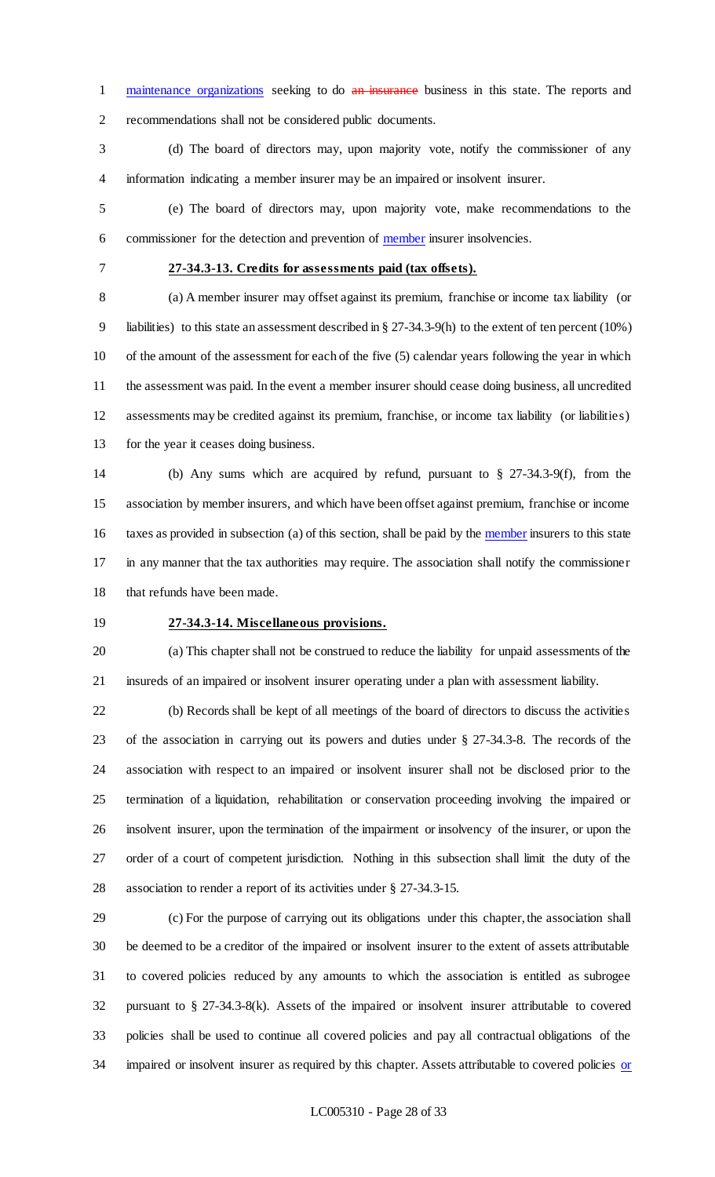1 maintenance organizations seeking to do an insurance business in this state. The reports and recommendations shall not be considered public documents.

 (d) The board of directors may, upon majority vote, notify the commissioner of any information indicating a member insurer may be an impaired or insolvent insurer.

 (e) The board of directors may, upon majority vote, make recommendations to the 6 commissioner for the detection and prevention of member insurer insolvencies.

### **27-34.3-13. Credits for assessments paid (tax offsets).**

 (a) A member insurer may offset against its premium, franchise or income tax liability (or liabilities) to this state an assessment described in § 27-34.3-9(h) to the extent of ten percent (10%) of the amount of the assessment for each of the five (5) calendar years following the year in which the assessment was paid. In the event a member insurer should cease doing business, all uncredited assessments may be credited against its premium, franchise, or income tax liability (or liabilities) for the year it ceases doing business.

 (b) Any sums which are acquired by refund, pursuant to § 27-34.3-9(f), from the association by member insurers, and which have been offset against premium, franchise or income 16 taxes as provided in subsection (a) of this section, shall be paid by the member insurers to this state in any manner that the tax authorities may require. The association shall notify the commissioner that refunds have been made.

### **27-34.3-14. Miscellaneous provisions.**

 (a) This chapter shall not be construed to reduce the liability for unpaid assessments of the insureds of an impaired or insolvent insurer operating under a plan with assessment liability.

 (b) Records shall be kept of all meetings of the board of directors to discuss the activities of the association in carrying out its powers and duties under § 27-34.3-8. The records of the association with respect to an impaired or insolvent insurer shall not be disclosed prior to the termination of a liquidation, rehabilitation or conservation proceeding involving the impaired or insolvent insurer, upon the termination of the impairment or insolvency of the insurer, or upon the order of a court of competent jurisdiction. Nothing in this subsection shall limit the duty of the association to render a report of its activities under § 27-34.3-15.

 (c) For the purpose of carrying out its obligations under this chapter, the association shall be deemed to be a creditor of the impaired or insolvent insurer to the extent of assets attributable to covered policies reduced by any amounts to which the association is entitled as subrogee pursuant to § 27-34.3-8(k). Assets of the impaired or insolvent insurer attributable to covered policies shall be used to continue all covered policies and pay all contractual obligations of the 34 impaired or insolvent insurer as required by this chapter. Assets attributable to covered policies or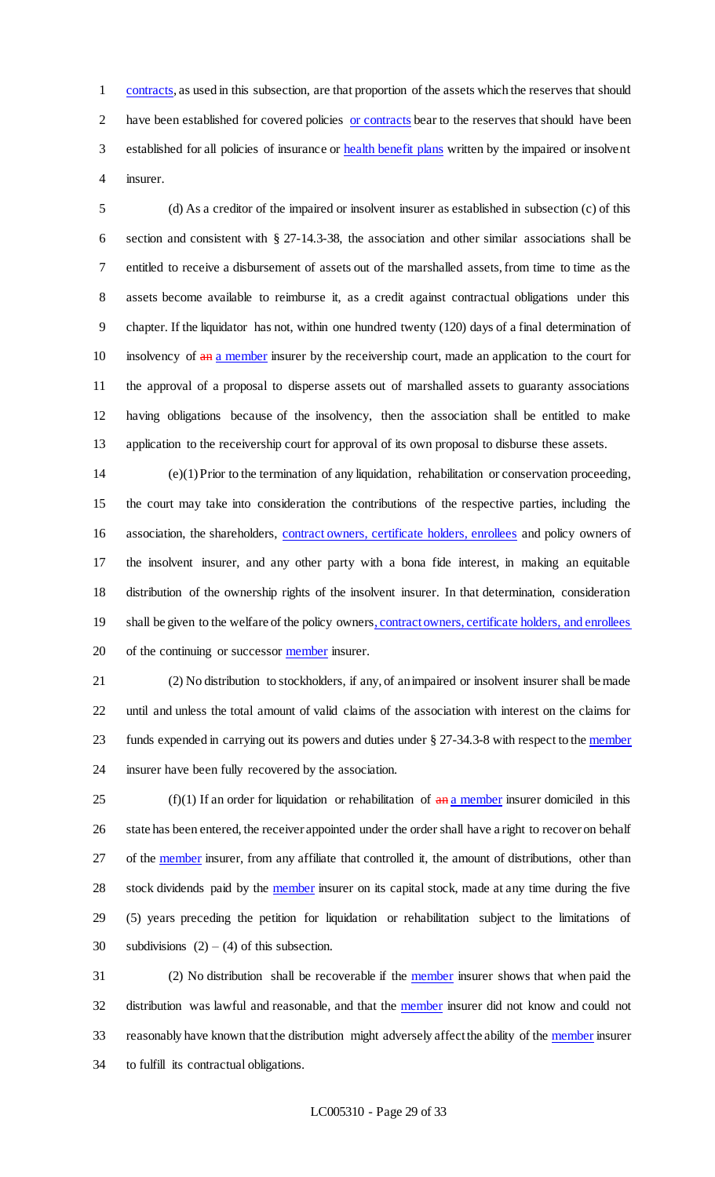1 contracts, as used in this subsection, are that proportion of the assets which the reserves that should have been established for covered policies or contracts bear to the reserves that should have been 3 established for all policies of insurance or health benefit plans written by the impaired or insolvent insurer.

 (d) As a creditor of the impaired or insolvent insurer as established in subsection (c) of this section and consistent with § 27-14.3-38, the association and other similar associations shall be entitled to receive a disbursement of assets out of the marshalled assets, from time to time as the assets become available to reimburse it, as a credit against contractual obligations under this chapter. If the liquidator has not, within one hundred twenty (120) days of a final determination of 10 insolvency of  $\frac{a_n}{a_n}$  a member insurer by the receivership court, made an application to the court for the approval of a proposal to disperse assets out of marshalled assets to guaranty associations having obligations because of the insolvency, then the association shall be entitled to make application to the receivership court for approval of its own proposal to disburse these assets.

 (e)(1) Prior to the termination of any liquidation, rehabilitation or conservation proceeding, the court may take into consideration the contributions of the respective parties, including the association, the shareholders, contract owners, certificate holders, enrollees and policy owners of the insolvent insurer, and any other party with a bona fide interest, in making an equitable distribution of the ownership rights of the insolvent insurer. In that determination, consideration 19 shall be given to the welfare of the policy owners, contract owners, certificate holders, and enrollees 20 of the continuing or successor member insurer.

 (2) No distribution to stockholders, if any, of an impaired or insolvent insurer shall be made until and unless the total amount of valid claims of the association with interest on the claims for 23 funds expended in carrying out its powers and duties under § 27-34.3-8 with respect to the member insurer have been fully recovered by the association.

25 (f)(1) If an order for liquidation or rehabilitation of  $\frac{a_n}{a_n}$  member insurer domiciled in this 26 state has been entered, the receiver appointed under the order shall have a right to recover on behalf 27 of the member insurer, from any affiliate that controlled it, the amount of distributions, other than 28 stock dividends paid by the member insurer on its capital stock, made at any time during the five (5) years preceding the petition for liquidation or rehabilitation subject to the limitations of 30 subdivisions  $(2) - (4)$  of this subsection.

 (2) No distribution shall be recoverable if the member insurer shows that when paid the distribution was lawful and reasonable, and that the member insurer did not know and could not 33 reasonably have known that the distribution might adversely affect the ability of the member insurer to fulfill its contractual obligations.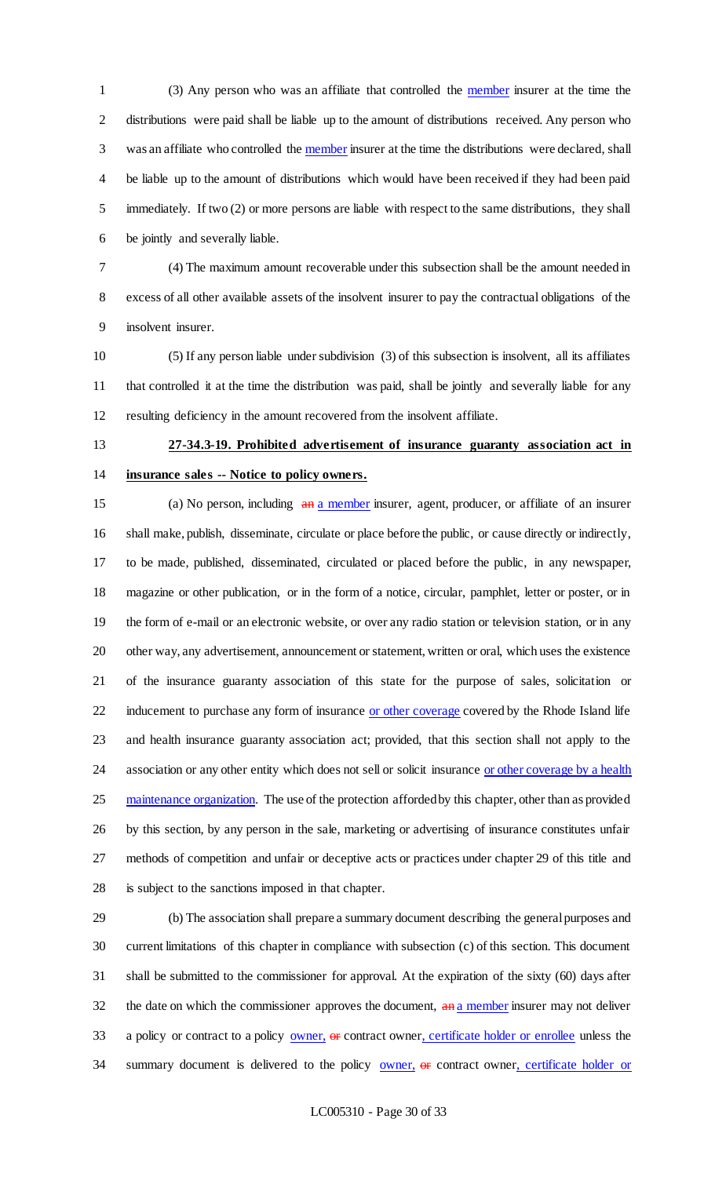(3) Any person who was an affiliate that controlled the member insurer at the time the distributions were paid shall be liable up to the amount of distributions received. Any person who was an affiliate who controlled the member insurer at the time the distributions were declared, shall be liable up to the amount of distributions which would have been received if they had been paid immediately. If two (2) or more persons are liable with respect to the same distributions, they shall be jointly and severally liable.

 (4) The maximum amount recoverable under this subsection shall be the amount needed in excess of all other available assets of the insolvent insurer to pay the contractual obligations of the insolvent insurer.

 (5) If any person liable under subdivision (3) of this subsection is insolvent, all its affiliates that controlled it at the time the distribution was paid, shall be jointly and severally liable for any resulting deficiency in the amount recovered from the insolvent affiliate.

# **27-34.3-19. Prohibited advertisement of insurance guaranty association act in insurance sales -- Notice to policy owners.**

15 (a) No person, including  $\frac{a_n}{a_n}$  member insurer, agent, producer, or affiliate of an insurer shall make, publish, disseminate, circulate or place before the public, or cause directly or indirectly, to be made, published, disseminated, circulated or placed before the public, in any newspaper, magazine or other publication, or in the form of a notice, circular, pamphlet, letter or poster, or in the form of e-mail or an electronic website, or over any radio station or television station, or in any other way, any advertisement, announcement or statement, written or oral, which uses the existence of the insurance guaranty association of this state for the purpose of sales, solicitation or 22 inducement to purchase any form of insurance or other coverage covered by the Rhode Island life and health insurance guaranty association act; provided, that this section shall not apply to the 24 association or any other entity which does not sell or solicit insurance or other coverage by a health 25 maintenance organization. The use of the protection afforded by this chapter, other than as provided by this section, by any person in the sale, marketing or advertising of insurance constitutes unfair methods of competition and unfair or deceptive acts or practices under chapter 29 of this title and is subject to the sanctions imposed in that chapter.

 (b) The association shall prepare a summary document describing the general purposes and current limitations of this chapter in compliance with subsection (c) of this section. This document shall be submitted to the commissioner for approval. At the expiration of the sixty (60) days after the date on which the commissioner approves the document,  $\frac{a_n}{b_n}$  a member insurer may not deliver 33 a policy or contract to a policy owner, or contract owner, certificate holder or enrollee unless the 34 summary document is delivered to the policy **owner**, or contract owner, certificate holder or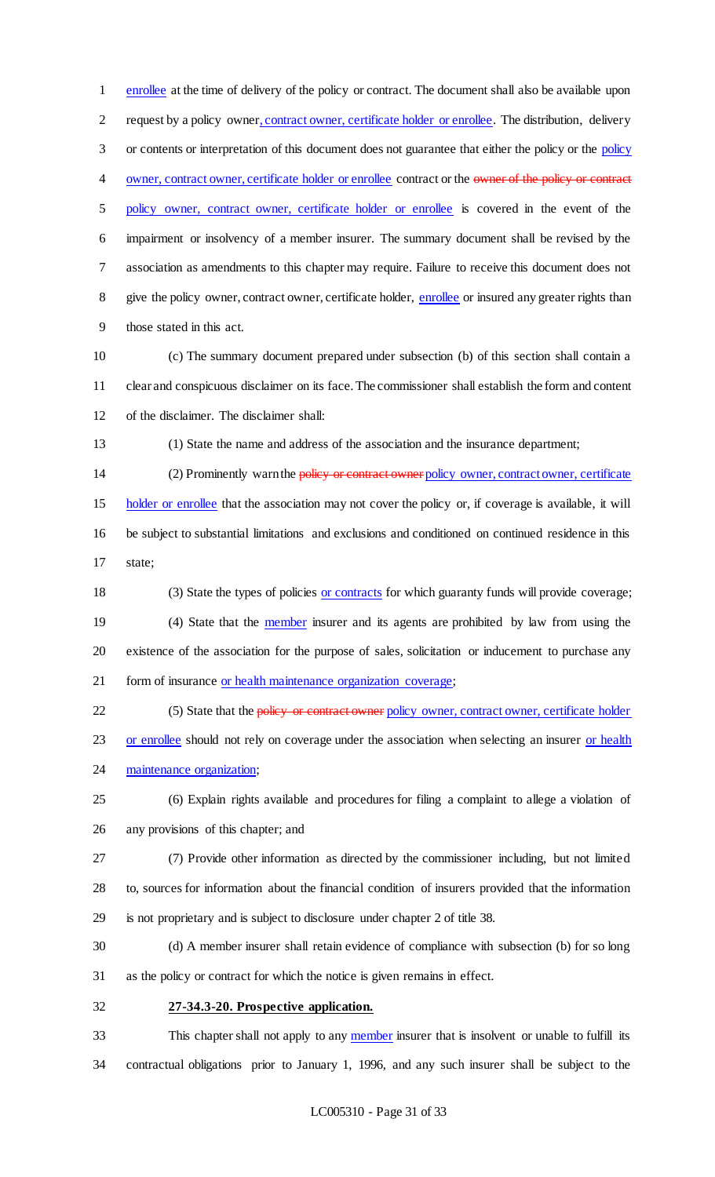enrollee at the time of delivery of the policy or contract. The document shall also be available upon request by a policy owner, contract owner, certificate holder or enrollee. The distribution, delivery or contents or interpretation of this document does not guarantee that either the policy or the policy 4 owner, contract owner, certificate holder or enrollee contract or the owner of the policy or contract policy owner, contract owner, certificate holder or enrollee is covered in the event of the impairment or insolvency of a member insurer. The summary document shall be revised by the association as amendments to this chapter may require. Failure to receive this document does not 8 give the policy owner, contract owner, certificate holder, enrollee or insured any greater rights than those stated in this act.

- (c) The summary document prepared under subsection (b) of this section shall contain a clear and conspicuous disclaimer on its face. The commissioner shall establish the form and content of the disclaimer. The disclaimer shall:
- 

(1) State the name and address of the association and the insurance department;

14 (2) Prominently warn the policy or contract owner policy owner, contract owner, certificate holder or enrollee that the association may not cover the policy or, if coverage is available, it will be subject to substantial limitations and exclusions and conditioned on continued residence in this state;

 (3) State the types of policies or contracts for which guaranty funds will provide coverage; 19 (4) State that the **<u>member</u>** insurer and its agents are prohibited by law from using the existence of the association for the purpose of sales, solicitation or inducement to purchase any 21 form of insurance or health maintenance organization coverage;

22 (5) State that the policy or contract owner policy owner, contract owner, certificate holder

23 or enrollee should not rely on coverage under the association when selecting an insurer or health 24 maintenance organization;

 (6) Explain rights available and procedures for filing a complaint to allege a violation of any provisions of this chapter; and

 (7) Provide other information as directed by the commissioner including, but not limited to, sources for information about the financial condition of insurers provided that the information is not proprietary and is subject to disclosure under chapter 2 of title 38.

 (d) A member insurer shall retain evidence of compliance with subsection (b) for so long as the policy or contract for which the notice is given remains in effect.

**27-34.3-20. Prospective application.**

33 This chapter shall not apply to any member insurer that is insolvent or unable to fulfill its contractual obligations prior to January 1, 1996, and any such insurer shall be subject to the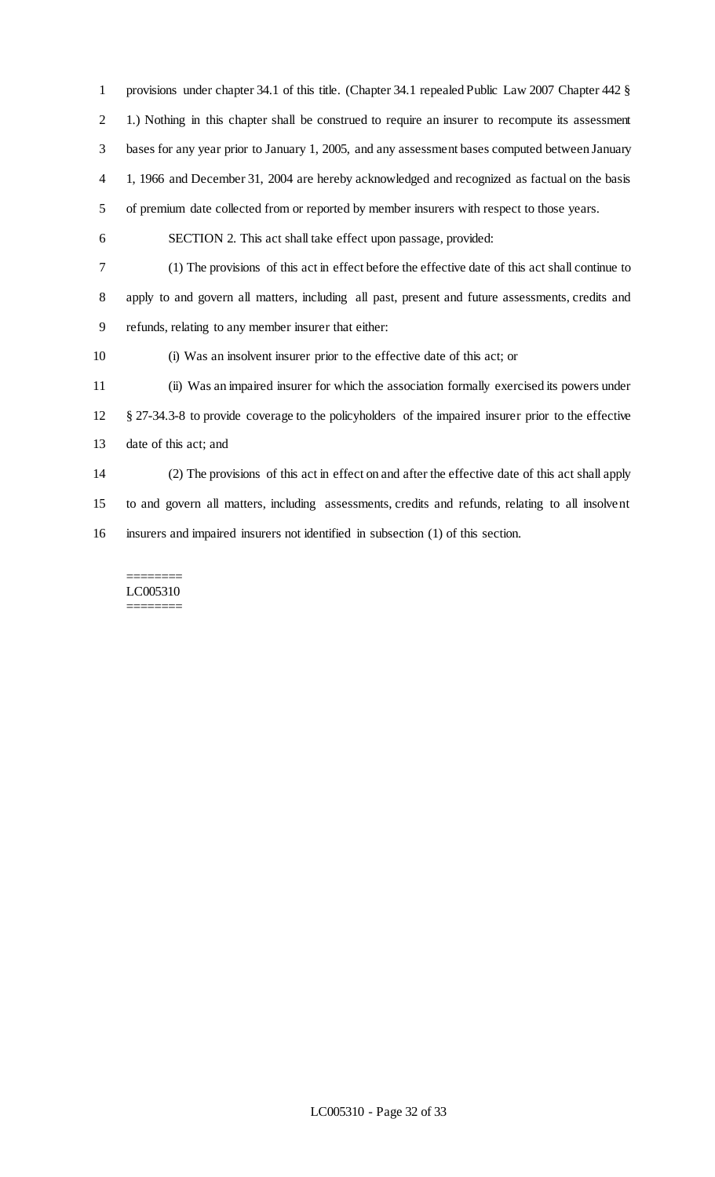provisions under chapter 34.1 of this title. (Chapter 34.1 repealed Public Law 2007 Chapter 442 § 1.) Nothing in this chapter shall be construed to require an insurer to recompute its assessment bases for any year prior to January 1, 2005, and any assessment bases computed between January 1, 1966 and December 31, 2004 are hereby acknowledged and recognized as factual on the basis of premium date collected from or reported by member insurers with respect to those years. SECTION 2. This act shall take effect upon passage, provided: (1) The provisions of this act in effect before the effective date of this act shall continue to apply to and govern all matters, including all past, present and future assessments, credits and refunds, relating to any member insurer that either: (i) Was an insolvent insurer prior to the effective date of this act; or (ii) Was an impaired insurer for which the association formally exercised its powers under § 27-34.3-8 to provide coverage to the policyholders of the impaired insurer prior to the effective date of this act; and (2) The provisions of this act in effect on and after the effective date of this act shall apply to and govern all matters, including assessments, credits and refunds, relating to all insolvent insurers and impaired insurers not identified in subsection (1) of this section.

======== LC005310 ========